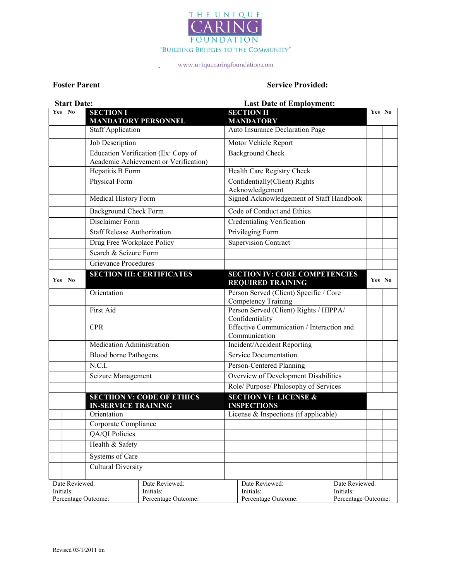

.

#### Foster Parent Service Provided:

|           | <b>Start Date:</b> |                                                                              | <b>Last Date of Employment:</b>                                                                          |        |  |
|-----------|--------------------|------------------------------------------------------------------------------|----------------------------------------------------------------------------------------------------------|--------|--|
| Yes No    |                    | <b>SECTION I</b><br><b>MANDATORY PERSONNEL</b>                               | <b>SECTION II</b><br><b>MANDATORY</b>                                                                    | Yes No |  |
|           |                    | <b>Staff Application</b>                                                     | Auto Insurance Declaration Page                                                                          |        |  |
|           |                    | Job Description                                                              | Motor Vehicle Report                                                                                     |        |  |
|           |                    | Education Verification (Ex: Copy of<br>Academic Achievement or Verification) | <b>Background Check</b>                                                                                  |        |  |
|           |                    | Hepatitis B Form                                                             | Health Care Registry Check                                                                               |        |  |
|           |                    | Physical Form                                                                | Confidentially(Client) Rights<br>Acknowledgement                                                         |        |  |
|           |                    | Medical History Form                                                         | Signed Acknowledgement of Staff Handbook                                                                 |        |  |
|           |                    | <b>Background Check Form</b>                                                 | Code of Conduct and Ethics                                                                               |        |  |
|           |                    | Disclaimer Form                                                              | Credentialing Verification                                                                               |        |  |
|           |                    | <b>Staff Release Authorization</b>                                           | Privileging Form                                                                                         |        |  |
|           |                    | Drug Free Workplace Policy                                                   | <b>Supervision Contract</b>                                                                              |        |  |
|           |                    | Search & Seizure Form                                                        |                                                                                                          |        |  |
|           |                    | <b>Grievance Procedures</b>                                                  |                                                                                                          |        |  |
| Yes No    |                    | <b>SECTION III: CERTIFICATES</b>                                             | <b>SECTION IV: CORE COMPETENCIES</b><br><b>REQUIRED TRAINING</b>                                         | Yes No |  |
|           |                    | Orientation                                                                  | Person Served (Client) Specific / Core<br>Competency Training                                            |        |  |
|           |                    | First Aid                                                                    | Person Served (Client) Rights / HIPPA/<br>Confidentiality                                                |        |  |
|           |                    | <b>CPR</b>                                                                   | Effective Communication / Interaction and<br>Communication                                               |        |  |
|           |                    | Medication Administration                                                    | Incident/Accident Reporting                                                                              |        |  |
|           |                    | Blood borne Pathogens                                                        | Service Documentation                                                                                    |        |  |
|           |                    | N.C.I.                                                                       | Person-Centered Planning                                                                                 |        |  |
|           |                    | Seizure Management                                                           | Overview of Development Disabilities                                                                     |        |  |
|           |                    |                                                                              | Role/ Purpose/ Philosophy of Services                                                                    |        |  |
|           |                    | <b>SECTIION V: CODE OF ETHICS</b><br><b>IN-SERVICE TRAINING</b>              | <b>SECTION VI: LICENSE &amp;</b><br><b>INSPECTIONS</b>                                                   |        |  |
|           |                    | Orientation                                                                  | License & Inspections (if applicable)                                                                    |        |  |
|           |                    | Corporate Compliance                                                         |                                                                                                          |        |  |
|           |                    | QA/QI Policies                                                               |                                                                                                          |        |  |
|           |                    | Health & Safety                                                              |                                                                                                          |        |  |
|           |                    | Systems of Care                                                              |                                                                                                          |        |  |
|           |                    | <b>Cultural Diversity</b>                                                    |                                                                                                          |        |  |
| Initials: | Date Reviewed:     | Date Reviewed:<br>Initials:<br>Percentage Outcome:<br>Percentage Outcome:    | Date Reviewed:<br>Date Reviewed:<br>Initials:<br>Initials:<br>Percentage Outcome:<br>Percentage Outcome: |        |  |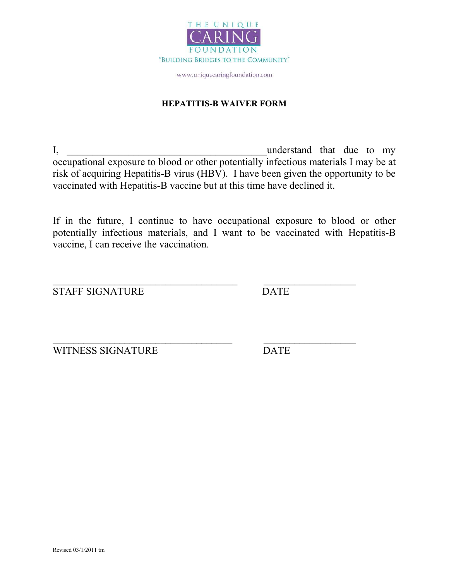

### HEPATITIS-B WAIVER FORM

I, the contraction of the contraction of the contraction of the contraction of the contraction of the contraction of the contraction of the contraction of the contraction of the contraction of the contraction of the contra occupational exposure to blood or other potentially infectious materials I may be at risk of acquiring Hepatitis-B virus (HBV). I have been given the opportunity to be vaccinated with Hepatitis-B vaccine but at this time have declined it.

If in the future, I continue to have occupational exposure to blood or other potentially infectious materials, and I want to be vaccinated with Hepatitis-B vaccine, I can receive the vaccination.

 $\mathcal{L}_\text{max}$  , and the contract of the contract of the contract of the contract of the contract of the contract of the contract of the contract of the contract of the contract of the contract of the contract of the contr

STAFF SIGNATURE DATE

WITNESS SIGNATURE DATE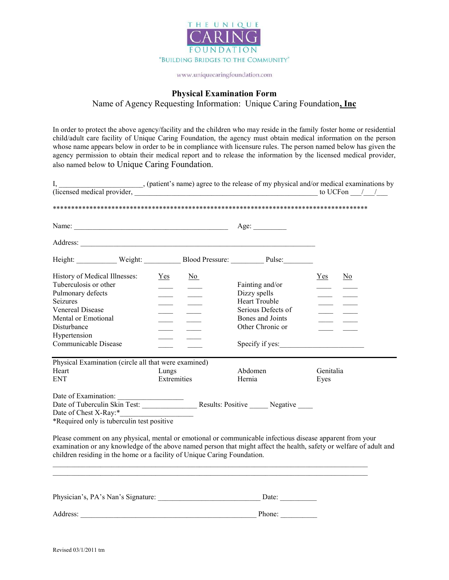

#### Physical Examination Form

Name of Agency Requesting Information: Unique Caring Foundation, Inc

In order to protect the above agency/facility and the children who may reside in the family foster home or residential child/adult care facility of Unique Caring Foundation, the agency must obtain medical information on the person whose name appears below in order to be in compliance with licensure rules. The person named below has given the agency permission to obtain their medical report and to release the information by the licensed medical provider, also named below to Unique Caring Foundation.

| I, $\frac{1}{2}$ , (patient's name) agree to the release of my physical and/or medical examinations by (licensed medical provider, $\frac{1}{2}$                                                                                                                                                                                                           |                             |                                                                                                                    | $\frac{1}{2}$ to UCF on $\frac{1}{2}$                                                                                                                         |                                             |                           |
|------------------------------------------------------------------------------------------------------------------------------------------------------------------------------------------------------------------------------------------------------------------------------------------------------------------------------------------------------------|-----------------------------|--------------------------------------------------------------------------------------------------------------------|---------------------------------------------------------------------------------------------------------------------------------------------------------------|---------------------------------------------|---------------------------|
|                                                                                                                                                                                                                                                                                                                                                            |                             |                                                                                                                    |                                                                                                                                                               |                                             |                           |
|                                                                                                                                                                                                                                                                                                                                                            |                             |                                                                                                                    |                                                                                                                                                               |                                             |                           |
|                                                                                                                                                                                                                                                                                                                                                            |                             |                                                                                                                    |                                                                                                                                                               |                                             |                           |
| Height: Weight: Blood Pressure: Pulse:                                                                                                                                                                                                                                                                                                                     |                             |                                                                                                                    |                                                                                                                                                               |                                             |                           |
| History of Medical Illnesses:<br>Tuberculosis or other<br>Pulmonary defects<br>Seizures<br><b>Venereal Disease</b><br>Mental or Emotional<br>Disturbance<br>Hypertension<br>Communicable Disease<br>Physical Examination (circle all that were examined)<br>Heart<br><b>ENT</b>                                                                            | Yes<br>Lungs<br>Extremities | $\underline{No}$<br>$\sim$<br>$\sim$ 100 $\sim$<br>$\frac{1}{\sqrt{2\pi}}\left( \frac{1}{\sqrt{2\pi}}\right) ^{2}$ | Fainting and/or<br>Dizzy spells<br><b>Heart Trouble</b><br>Serious Defects of<br>Bones and Joints<br>Other Chronic or<br>Specify if yes:<br>Abdomen<br>Hernia | $Yes$<br>$\frac{1}{2}$<br>Genitalia<br>Eyes | $\underline{\mathrm{No}}$ |
|                                                                                                                                                                                                                                                                                                                                                            |                             |                                                                                                                    |                                                                                                                                                               |                                             |                           |
| *Required only is tuberculin test positive<br>Please comment on any physical, mental or emotional or communicable infectious disease apparent from your<br>examination or any knowledge of the above named person that might affect the health, safety or welfare of adult and<br>children residing in the home or a facility of Unique Caring Foundation. |                             |                                                                                                                    |                                                                                                                                                               |                                             |                           |
| Physician's, PA's Nan's Signature: Date: Date: Date:                                                                                                                                                                                                                                                                                                       |                             |                                                                                                                    |                                                                                                                                                               |                                             |                           |
|                                                                                                                                                                                                                                                                                                                                                            |                             |                                                                                                                    |                                                                                                                                                               |                                             |                           |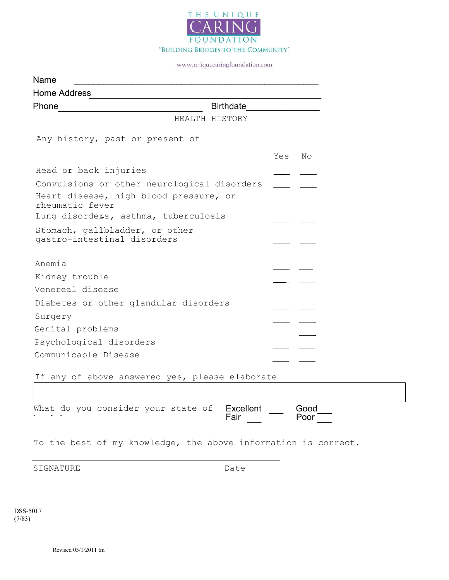

| Name                                                          |                             |
|---------------------------------------------------------------|-----------------------------|
| <b>Home Address</b>                                           |                             |
| Phone                                                         | Birthdate__________________ |
| HEALTH HISTORY                                                |                             |
| Any history, past or present of                               |                             |
|                                                               | Yes<br>No                   |
| Head or back injuries                                         |                             |
| Convulsions or other neurological disorders                   |                             |
| Heart disease, high blood pressure, or<br>rheumatic fever     |                             |
| Lung disorders, asthma, tuberculosis                          |                             |
| Stomach, gallbladder, or other<br>gastro-intestinal disorders |                             |
|                                                               |                             |
| Anemia                                                        |                             |
| Kidney trouble                                                |                             |
| Venereal disease                                              |                             |
| Diabetes or other glandular disorders                         |                             |
| Surgery                                                       |                             |
| Genital problems                                              |                             |
| Psychological disorders                                       |                             |
| Communicable Disease                                          |                             |
| If any of above answered yes, please elaborate                |                             |

Excellent — Good<br>Fair — Poor <u>—</u> Fair What do you consider your state of health:

To the best of my knowledge, the above information is correct.

SIGNATURE Date

DSS-5017 (7/83)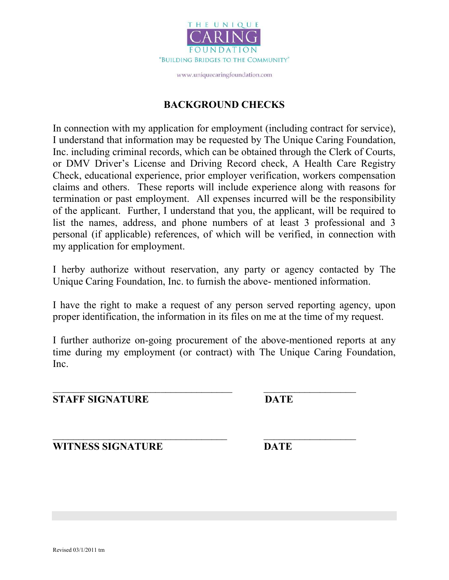

## BACKGROUND CHECKS

In connection with my application for employment (including contract for service), I understand that information may be requested by The Unique Caring Foundation, Inc. including criminal records, which can be obtained through the Clerk of Courts, or DMV Driver's License and Driving Record check, A Health Care Registry Check, educational experience, prior employer verification, workers compensation claims and others. These reports will include experience along with reasons for termination or past employment. All expenses incurred will be the responsibility of the applicant. Further, I understand that you, the applicant, will be required to list the names, address, and phone numbers of at least 3 professional and 3 personal (if applicable) references, of which will be verified, in connection with my application for employment.

I herby authorize without reservation, any party or agency contacted by The Unique Caring Foundation, Inc. to furnish the above- mentioned information.

I have the right to make a request of any person served reporting agency, upon proper identification, the information in its files on me at the time of my request.

I further authorize on-going procurement of the above-mentioned reports at any time during my employment (or contract) with The Unique Caring Foundation, Inc.

 $\mathcal{L}_\text{max}$  , and the contract of the contract of the contract of the contract of the contract of the contract of

STAFF SIGNATURE DATE

WITNESS SIGNATURE DATE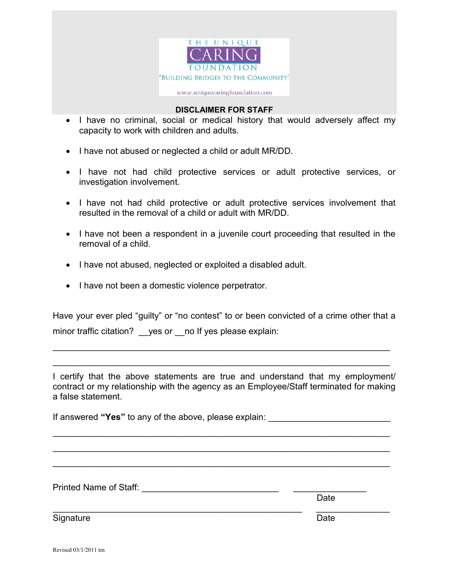

#### DISCLAIMER FOR STAFF

- I have no criminal, social or medical history that would adversely affect my capacity to work with children and adults.
- I have not abused or neglected a child or adult MR/DD.
- I have not had child protective services or adult protective services, or investigation involvement.
- I have not had child protective or adult protective services involvement that resulted in the removal of a child or adult with MR/DD.
- I have not been a respondent in a juvenile court proceeding that resulted in the removal of a child.
- I have not abused, neglected or exploited a disabled adult.
- I have not been a domestic violence perpetrator.

Have your ever pled "guilty" or "no contest" to or been convicted of a crime other that a minor traffic citation? yes or \_\_no If yes please explain:

 $\mathcal{L}_\mathcal{L} = \mathcal{L}_\mathcal{L} = \mathcal{L}_\mathcal{L} = \mathcal{L}_\mathcal{L} = \mathcal{L}_\mathcal{L} = \mathcal{L}_\mathcal{L} = \mathcal{L}_\mathcal{L} = \mathcal{L}_\mathcal{L} = \mathcal{L}_\mathcal{L} = \mathcal{L}_\mathcal{L} = \mathcal{L}_\mathcal{L} = \mathcal{L}_\mathcal{L} = \mathcal{L}_\mathcal{L} = \mathcal{L}_\mathcal{L} = \mathcal{L}_\mathcal{L} = \mathcal{L}_\mathcal{L} = \mathcal{L}_\mathcal{L}$ 

 $\mathcal{L}_\mathcal{L} = \mathcal{L}_\mathcal{L} = \mathcal{L}_\mathcal{L} = \mathcal{L}_\mathcal{L} = \mathcal{L}_\mathcal{L} = \mathcal{L}_\mathcal{L} = \mathcal{L}_\mathcal{L} = \mathcal{L}_\mathcal{L} = \mathcal{L}_\mathcal{L} = \mathcal{L}_\mathcal{L} = \mathcal{L}_\mathcal{L} = \mathcal{L}_\mathcal{L} = \mathcal{L}_\mathcal{L} = \mathcal{L}_\mathcal{L} = \mathcal{L}_\mathcal{L} = \mathcal{L}_\mathcal{L} = \mathcal{L}_\mathcal{L}$ 

I certify that the above statements are true and understand that my employment/ contract or my relationship with the agency as an Employee/Staff terminated for making a false statement.

If answered "Yes" to any of the above, please explain: \_\_\_\_\_\_\_\_\_\_\_\_\_\_\_\_\_\_\_\_\_\_\_\_\_

\_\_\_\_\_\_\_\_\_\_\_\_\_\_\_\_\_\_\_\_\_\_\_\_\_\_\_\_\_\_\_\_\_\_\_\_\_\_\_\_\_\_\_\_\_\_\_\_\_\_\_\_\_\_\_\_\_\_\_\_\_\_\_\_\_\_\_\_\_

 $\mathcal{L}_\mathcal{L} = \mathcal{L}_\mathcal{L} = \mathcal{L}_\mathcal{L} = \mathcal{L}_\mathcal{L} = \mathcal{L}_\mathcal{L} = \mathcal{L}_\mathcal{L} = \mathcal{L}_\mathcal{L} = \mathcal{L}_\mathcal{L} = \mathcal{L}_\mathcal{L} = \mathcal{L}_\mathcal{L} = \mathcal{L}_\mathcal{L} = \mathcal{L}_\mathcal{L} = \mathcal{L}_\mathcal{L} = \mathcal{L}_\mathcal{L} = \mathcal{L}_\mathcal{L} = \mathcal{L}_\mathcal{L} = \mathcal{L}_\mathcal{L}$ 

 $\mathcal{L}_\mathcal{L} = \mathcal{L}_\mathcal{L} = \mathcal{L}_\mathcal{L} = \mathcal{L}_\mathcal{L} = \mathcal{L}_\mathcal{L} = \mathcal{L}_\mathcal{L} = \mathcal{L}_\mathcal{L} = \mathcal{L}_\mathcal{L} = \mathcal{L}_\mathcal{L} = \mathcal{L}_\mathcal{L} = \mathcal{L}_\mathcal{L} = \mathcal{L}_\mathcal{L} = \mathcal{L}_\mathcal{L} = \mathcal{L}_\mathcal{L} = \mathcal{L}_\mathcal{L} = \mathcal{L}_\mathcal{L} = \mathcal{L}_\mathcal{L}$ 

 $\overline{\phantom{a}}$  , and the contribution of the contribution of the contribution of the contribution of the contribution of the contribution of the contribution of the contribution of the contribution of the contribution of the

Printed Name of Staff: \_\_\_\_\_\_\_\_\_\_\_\_\_\_\_\_\_\_\_\_\_\_\_\_\_\_\_\_ \_\_\_\_\_\_\_\_\_\_\_\_\_\_\_

discussion of the contract of the contract of the contract of the Date of the Contract of the Contract of the C

Signature Date **Date**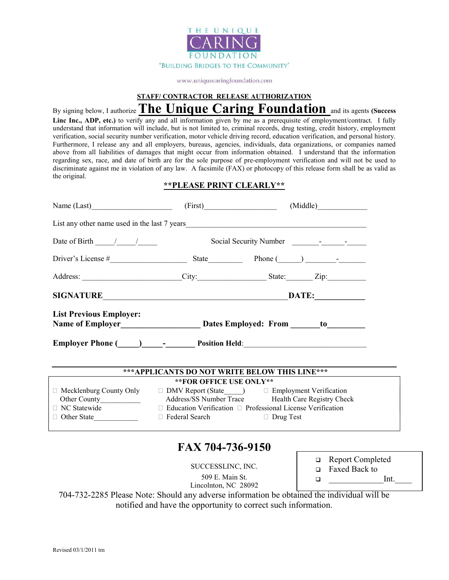

STAFF/ CONTRACTOR RELEASE AUTHORIZATION

By signing below, I authorize The Unique Caring Foundation and its agents (Success Linc Inc., ADP, etc.) to verify any and all information given by me as a prerequisite of employment/contract. I fully understand that information will include, but is not limited to, criminal records, drug testing, credit history, employment verification, social security number verification, motor vehicle driving record, education verification, and personal history. Furthermore, I release any and all employers, bureaus, agencies, individuals, data organizations, or companies named above from all liabilities of damages that might occur from information obtained. I understand that the information regarding sex, race, and date of birth are for the sole purpose of pre-employment verification and will not be used to discriminate against me in violation of any law. A facsimile (FAX) or photocopy of this release form shall be as valid as the original.

#### \*\*PLEASE PRINT CLEARLY\*\*

| Name $(Last)$                                      |                              | (First) (Middle)                                                                                |  |  |  |  |  |  |
|----------------------------------------------------|------------------------------|-------------------------------------------------------------------------------------------------|--|--|--|--|--|--|
|                                                    |                              |                                                                                                 |  |  |  |  |  |  |
| Date of Birth $\frac{1}{\sqrt{1-\frac{1}{2}}}$     |                              |                                                                                                 |  |  |  |  |  |  |
|                                                    |                              | Driver's License $\#$ State Phone $(\_\_\_\_\_$                                                 |  |  |  |  |  |  |
|                                                    |                              | Address: City: City: State: Zip: Zip:                                                           |  |  |  |  |  |  |
|                                                    |                              |                                                                                                 |  |  |  |  |  |  |
| <b>List Previous Employer:</b>                     |                              |                                                                                                 |  |  |  |  |  |  |
|                                                    |                              | Employer Phone (Comparison Level of Position Held: New York Phone (Comparison Position Held:    |  |  |  |  |  |  |
|                                                    |                              | *** APPLICANTS DO NOT WRITE BELOW THIS LINE***                                                  |  |  |  |  |  |  |
|                                                    | ** FOR OFFICE USE ONLY**     |                                                                                                 |  |  |  |  |  |  |
|                                                    |                              | $\Box$ Mecklenburg County Only $\Box$ DMV Report (State $\Box$ ) $\Box$ Employment Verification |  |  |  |  |  |  |
| Address/SS Number Trace Health Care Registry Check |                              |                                                                                                 |  |  |  |  |  |  |
| $\Box$ NC Statewide                                |                              | $\Box$ Education Verification $\Box$ Professional License Verification                          |  |  |  |  |  |  |
| □ Other State                                      | □ Federal Search □ Drug Test |                                                                                                 |  |  |  |  |  |  |
|                                                    |                              |                                                                                                 |  |  |  |  |  |  |

# FAX 704-736-9150

SUCCESSLINC, INC. 509 E. Main St. Lincolnton, NC 28092

| $\Box$ | <b>Report Completed</b> |
|--------|-------------------------|
| $\Box$ | <b>Faxed Back to</b>    |
| □      | Int.                    |

704-732-2285 Please Note: Should any adverse information be obtained the individual will be notified and have the opportunity to correct such information.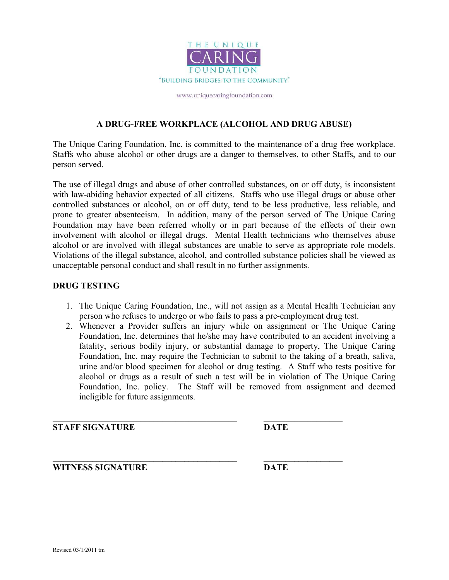

#### A DRUG-FREE WORKPLACE (ALCOHOL AND DRUG ABUSE)

The Unique Caring Foundation, Inc. is committed to the maintenance of a drug free workplace. Staffs who abuse alcohol or other drugs are a danger to themselves, to other Staffs, and to our person served.

The use of illegal drugs and abuse of other controlled substances, on or off duty, is inconsistent with law-abiding behavior expected of all citizens. Staffs who use illegal drugs or abuse other controlled substances or alcohol, on or off duty, tend to be less productive, less reliable, and prone to greater absenteeism. In addition, many of the person served of The Unique Caring Foundation may have been referred wholly or in part because of the effects of their own involvement with alcohol or illegal drugs. Mental Health technicians who themselves abuse alcohol or are involved with illegal substances are unable to serve as appropriate role models. Violations of the illegal substance, alcohol, and controlled substance policies shall be viewed as unacceptable personal conduct and shall result in no further assignments.

#### DRUG TESTING

- 1. The Unique Caring Foundation, Inc., will not assign as a Mental Health Technician any person who refuses to undergo or who fails to pass a pre-employment drug test.
- 2. Whenever a Provider suffers an injury while on assignment or The Unique Caring Foundation, Inc. determines that he/she may have contributed to an accident involving a fatality, serious bodily injury, or substantial damage to property, The Unique Caring Foundation, Inc. may require the Technician to submit to the taking of a breath, saliva, urine and/or blood specimen for alcohol or drug testing. A Staff who tests positive for alcohol or drugs as a result of such a test will be in violation of The Unique Caring Foundation, Inc. policy. The Staff will be removed from assignment and deemed ineligible for future assignments.

\_\_\_\_\_\_\_\_\_\_\_\_\_\_\_\_\_\_\_\_\_\_\_\_\_\_\_\_\_\_\_\_\_\_\_\_\_\_\_\_\_\_ \_\_\_\_\_\_\_\_\_\_\_\_\_\_\_\_\_\_

STAFF SIGNATURE DATE

WITNESS SIGNATURE DATE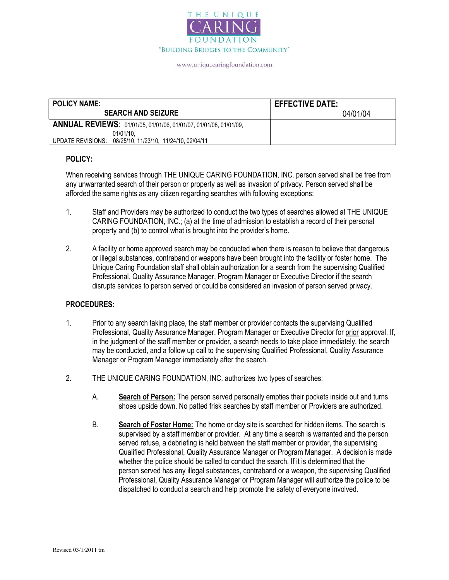

| <b>POLICY NAME:</b>                                               | <b>EFFECTIVE DATE:</b> |
|-------------------------------------------------------------------|------------------------|
| <b>SEARCH AND SEIZURE</b>                                         | 04/01/04               |
| ANNUAL REVIEWS: 01/01/05, 01/01/06, 01/01/07, 01/01/08, 01/01/09, |                        |
| 01/01/10.                                                         |                        |
| UPDATE REVISIONS: 08/25/10, 11/23/10, 11/24/10, 02/04/11          |                        |

#### POLICY:

When receiving services through THE UNIQUE CARING FOUNDATION, INC. person served shall be free from any unwarranted search of their person or property as well as invasion of privacy. Person served shall be afforded the same rights as any citizen regarding searches with following exceptions:

- 1. Staff and Providers may be authorized to conduct the two types of searches allowed at THE UNIQUE CARING FOUNDATION, INC.; (a) at the time of admission to establish a record of their personal property and (b) to control what is brought into the provider's home.
- 2. A facility or home approved search may be conducted when there is reason to believe that dangerous or illegal substances, contraband or weapons have been brought into the facility or foster home. The Unique Caring Foundation staff shall obtain authorization for a search from the supervising Qualified Professional, Quality Assurance Manager, Program Manager or Executive Director if the search disrupts services to person served or could be considered an invasion of person served privacy.

#### PROCEDURES:

- 1. Prior to any search taking place, the staff member or provider contacts the supervising Qualified Professional, Quality Assurance Manager, Program Manager or Executive Director for prior approval. If, in the judgment of the staff member or provider, a search needs to take place immediately, the search may be conducted, and a follow up call to the supervising Qualified Professional, Quality Assurance Manager or Program Manager immediately after the search.
- 2. THE UNIQUE CARING FOUNDATION, INC. authorizes two types of searches:
	- A. Search of Person: The person served personally empties their pockets inside out and turns shoes upside down. No patted frisk searches by staff member or Providers are authorized.
	- B. Search of Foster Home: The home or day site is searched for hidden items. The search is supervised by a staff member or provider. At any time a search is warranted and the person served refuse, a debriefing is held between the staff member or provider, the supervising Qualified Professional, Quality Assurance Manager or Program Manager. A decision is made whether the police should be called to conduct the search. If it is determined that the person served has any illegal substances, contraband or a weapon, the supervising Qualified Professional, Quality Assurance Manager or Program Manager will authorize the police to be dispatched to conduct a search and help promote the safety of everyone involved.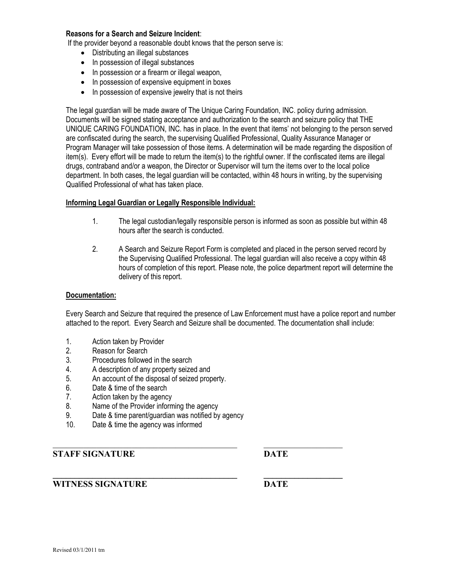#### Reasons for a Search and Seizure Incident:

If the provider beyond a reasonable doubt knows that the person serve is:

- Distributing an illegal substances
- In possession of illegal substances
- In possession or a firearm or illegal weapon,
- In possession of expensive equipment in boxes
- In possession of expensive jewelry that is not theirs

The legal guardian will be made aware of The Unique Caring Foundation, INC. policy during admission. Documents will be signed stating acceptance and authorization to the search and seizure policy that THE UNIQUE CARING FOUNDATION, INC. has in place. In the event that items' not belonging to the person served are confiscated during the search, the supervising Qualified Professional, Quality Assurance Manager or Program Manager will take possession of those items. A determination will be made regarding the disposition of item(s). Every effort will be made to return the item(s) to the rightful owner. If the confiscated items are illegal drugs, contraband and/or a weapon, the Director or Supervisor will turn the items over to the local police department. In both cases, the legal guardian will be contacted, within 48 hours in writing, by the supervising Qualified Professional of what has taken place.

#### Informing Legal Guardian or Legally Responsible Individual:

- 1. The legal custodian/legally responsible person is informed as soon as possible but within 48 hours after the search is conducted.
- 2. A Search and Seizure Report Form is completed and placed in the person served record by the Supervising Qualified Professional. The legal guardian will also receive a copy within 48 hours of completion of this report. Please note, the police department report will determine the delivery of this report.

#### Documentation:

Every Search and Seizure that required the presence of Law Enforcement must have a police report and number attached to the report. Every Search and Seizure shall be documented. The documentation shall include:

- 1. Action taken by Provider
- 2. Reason for Search<br>3. Procedures followed
- Procedures followed in the search
- 4. A description of any property seized and
- 5. An account of the disposal of seized property.
- 6. Date & time of the search
- 7. Action taken by the agency
- 8. Name of the Provider informing the agency
- 9. Date & time parent/guardian was notified by agency
- 10. Date & time the agency was informed

#### STAFF SIGNATURE DATE

#### WITNESS SIGNATURE DATE

 $\mathcal{L}_\text{max} = \frac{1}{2} \sum_{i=1}^n \mathcal{L}_\text{max}(\mathbf{z}_i - \mathbf{z}_i)$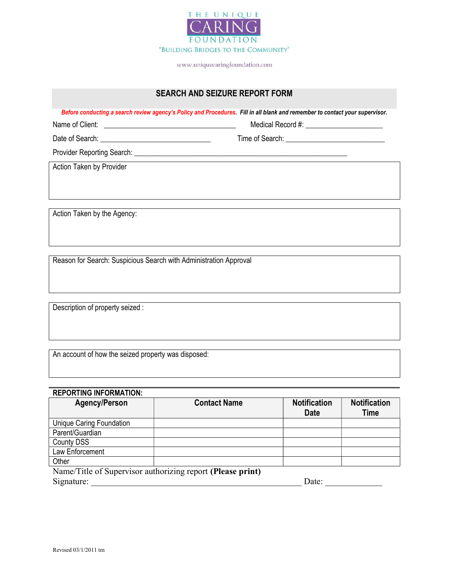

#### SEARCH AND SEIZURE REPORT FORM

Before conducting a search review agency's Policy and Procedures. Fill in all blank and remember to contact your supervisor.

Name of Client: \_\_\_\_\_\_\_\_\_\_\_\_\_\_\_\_\_\_\_\_\_\_\_\_\_\_\_\_\_\_\_\_\_\_\_\_ Medical Record #: \_\_\_\_\_\_\_\_\_\_\_\_\_\_\_\_\_\_\_\_\_

Date of Search: \_\_\_\_\_\_\_\_\_\_\_\_\_\_\_\_\_\_\_\_\_\_\_\_\_\_\_\_\_\_ Time of Search: \_\_\_\_\_\_\_\_\_\_\_\_\_\_\_\_\_\_\_\_\_\_\_\_\_\_\_

Provider Reporting Search: \_\_\_\_\_\_\_\_\_\_\_\_\_\_\_\_\_\_\_\_\_\_\_\_\_\_\_\_\_\_\_\_\_\_\_\_\_\_\_\_\_\_\_\_\_\_\_\_\_\_\_\_\_\_\_\_\_\_

Action Taken by Provider

Action Taken by the Agency:

Reason for Search: Suspicious Search with Administration Approval

Description of property seized :

An account of how the seized property was disposed:

#### REPORTING INFORMATION:

| <b>Agency/Person</b>                                       | <b>Contact Name</b> | <b>Notification</b><br><b>Date</b> | <b>Notification</b><br>Time |  |  |  |
|------------------------------------------------------------|---------------------|------------------------------------|-----------------------------|--|--|--|
| <b>Unique Caring Foundation</b>                            |                     |                                    |                             |  |  |  |
| Parent/Guardian                                            |                     |                                    |                             |  |  |  |
| <b>County DSS</b>                                          |                     |                                    |                             |  |  |  |
| Law Enforcement                                            |                     |                                    |                             |  |  |  |
| Other                                                      |                     |                                    |                             |  |  |  |
| Name/Title of Supervisor authorizing report (Please print) |                     |                                    |                             |  |  |  |
| Signature:<br>Date:                                        |                     |                                    |                             |  |  |  |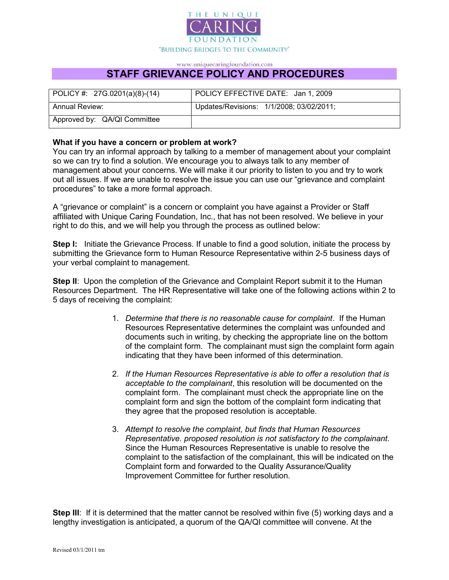

## STAFF GRIEVANCE POLICY AND PROCEDURES

| $ $ POLICY #: 27G.0201(a)(8)-(14) | POLICY EFFECTIVE DATE: Jan 1, 2009       |  |  |  |  |
|-----------------------------------|------------------------------------------|--|--|--|--|
| <b>Annual Review:</b>             | Updates/Revisions: 1/1/2008; 03/02/2011; |  |  |  |  |
| Approved by: QA/QI Committee      |                                          |  |  |  |  |

#### What if you have a concern or problem at work?

You can try an informal approach by talking to a member of management about your complaint so we can try to find a solution. We encourage you to always talk to any member of management about your concerns. We will make it our priority to listen to you and try to work out all issues. If we are unable to resolve the issue you can use our "grievance and complaint procedures" to take a more formal approach.

A "grievance or complaint" is a concern or complaint you have against a Provider or Staff affiliated with Unique Caring Foundation, Inc., that has not been resolved. We believe in your right to do this, and we will help you through the process as outlined below:

**Step I:** Initiate the Grievance Process. If unable to find a good solution, initiate the process by submitting the Grievance form to Human Resource Representative within 2-5 business days of your verbal complaint to management.

Step II: Upon the completion of the Grievance and Complaint Report submit it to the Human Resources Department. The HR Representative will take one of the following actions within 2 to 5 days of receiving the complaint:

- 1. Determine that there is no reasonable cause for complaint. If the Human Resources Representative determines the complaint was unfounded and documents such in writing, by checking the appropriate line on the bottom of the complaint form. The complainant must sign the complaint form again indicating that they have been informed of this determination.
- 2. If the Human Resources Representative is able to offer a resolution that is acceptable to the complainant, this resolution will be documented on the complaint form. The complainant must check the appropriate line on the complaint form and sign the bottom of the complaint form indicating that they agree that the proposed resolution is acceptable.
- 3. Attempt to resolve the complaint, but finds that Human Resources Representative. proposed resolution is not satisfactory to the complainant. Since the Human Resources Representative is unable to resolve the complaint to the satisfaction of the complainant, this will be indicated on the Complaint form and forwarded to the Quality Assurance/Quality Improvement Committee for further resolution.

Step III: If it is determined that the matter cannot be resolved within five (5) working days and a lengthy investigation is anticipated, a quorum of the QA/QI committee will convene. At the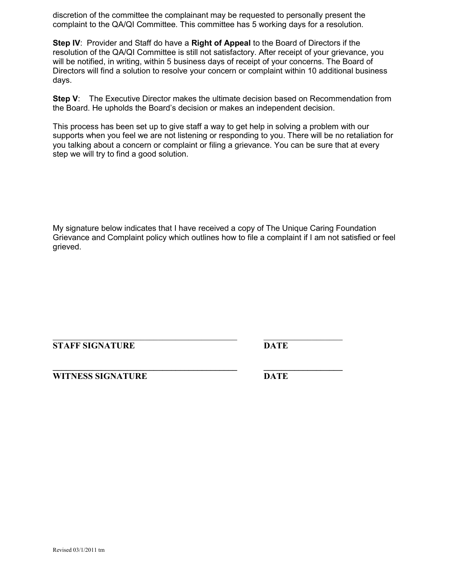discretion of the committee the complainant may be requested to personally present the complaint to the QA/QI Committee. This committee has 5 working days for a resolution.

Step IV: Provider and Staff do have a Right of Appeal to the Board of Directors if the resolution of the QA/QI Committee is still not satisfactory. After receipt of your grievance, you will be notified, in writing, within 5 business days of receipt of your concerns. The Board of Directors will find a solution to resolve your concern or complaint within 10 additional business days.

Step V: The Executive Director makes the ultimate decision based on Recommendation from the Board. He upholds the Board's decision or makes an independent decision.

This process has been set up to give staff a way to get help in solving a problem with our supports when you feel we are not listening or responding to you. There will be no retaliation for you talking about a concern or complaint or filing a grievance. You can be sure that at every step we will try to find a good solution.

My signature below indicates that I have received a copy of The Unique Caring Foundation Grievance and Complaint policy which outlines how to file a complaint if I am not satisfied or feel grieved.

#### STAFF SIGNATURE DATE

WITNESS SIGNATURE DATE

\_\_\_\_\_\_\_\_\_\_\_\_\_\_\_\_\_\_\_\_\_\_\_\_\_\_\_\_\_\_\_\_\_\_\_\_\_\_\_\_\_\_ \_\_\_\_\_\_\_\_\_\_\_\_\_\_\_\_\_\_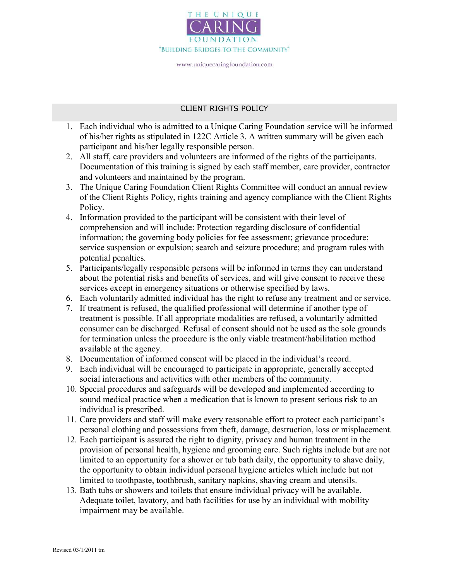

#### CLIENT RIGHTS POLICY

- 1. Each individual who is admitted to a Unique Caring Foundation service will be informed of his/her rights as stipulated in 122C Article 3. A written summary will be given each participant and his/her legally responsible person.
- 2. All staff, care providers and volunteers are informed of the rights of the participants. Documentation of this training is signed by each staff member, care provider, contractor and volunteers and maintained by the program.
- 3. The Unique Caring Foundation Client Rights Committee will conduct an annual review of the Client Rights Policy, rights training and agency compliance with the Client Rights Policy.
- 4. Information provided to the participant will be consistent with their level of comprehension and will include: Protection regarding disclosure of confidential information; the governing body policies for fee assessment; grievance procedure; service suspension or expulsion; search and seizure procedure; and program rules with potential penalties.
- 5. Participants/legally responsible persons will be informed in terms they can understand about the potential risks and benefits of services, and will give consent to receive these services except in emergency situations or otherwise specified by laws.
- 6. Each voluntarily admitted individual has the right to refuse any treatment and or service.
- 7. If treatment is refused, the qualified professional will determine if another type of treatment is possible. If all appropriate modalities are refused, a voluntarily admitted consumer can be discharged. Refusal of consent should not be used as the sole grounds for termination unless the procedure is the only viable treatment/habilitation method available at the agency.
- 8. Documentation of informed consent will be placed in the individual's record.
- 9. Each individual will be encouraged to participate in appropriate, generally accepted social interactions and activities with other members of the community.
- 10. Special procedures and safeguards will be developed and implemented according to sound medical practice when a medication that is known to present serious risk to an individual is prescribed.
- 11. Care providers and staff will make every reasonable effort to protect each participant's personal clothing and possessions from theft, damage, destruction, loss or misplacement.
- 12. Each participant is assured the right to dignity, privacy and human treatment in the provision of personal health, hygiene and grooming care. Such rights include but are not limited to an opportunity for a shower or tub bath daily, the opportunity to shave daily, the opportunity to obtain individual personal hygiene articles which include but not limited to toothpaste, toothbrush, sanitary napkins, shaving cream and utensils.
- 13. Bath tubs or showers and toilets that ensure individual privacy will be available. Adequate toilet, lavatory, and bath facilities for use by an individual with mobility impairment may be available.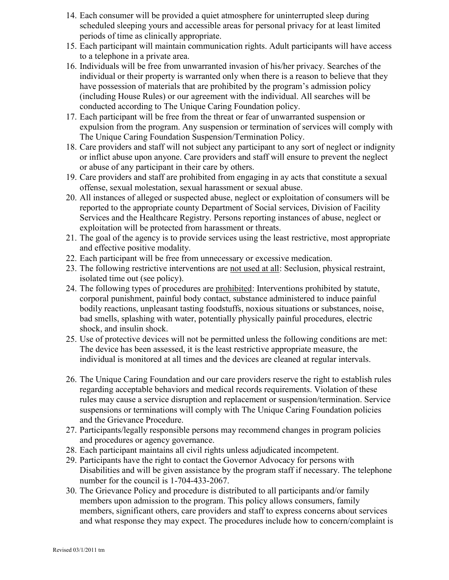- 14. Each consumer will be provided a quiet atmosphere for uninterrupted sleep during scheduled sleeping yours and accessible areas for personal privacy for at least limited periods of time as clinically appropriate.
- 15. Each participant will maintain communication rights. Adult participants will have access to a telephone in a private area.
- 16. Individuals will be free from unwarranted invasion of his/her privacy. Searches of the individual or their property is warranted only when there is a reason to believe that they have possession of materials that are prohibited by the program's admission policy (including House Rules) or our agreement with the individual. All searches will be conducted according to The Unique Caring Foundation policy.
- 17. Each participant will be free from the threat or fear of unwarranted suspension or expulsion from the program. Any suspension or termination of services will comply with The Unique Caring Foundation Suspension/Termination Policy.
- 18. Care providers and staff will not subject any participant to any sort of neglect or indignity or inflict abuse upon anyone. Care providers and staff will ensure to prevent the neglect or abuse of any participant in their care by others.
- 19. Care providers and staff are prohibited from engaging in ay acts that constitute a sexual offense, sexual molestation, sexual harassment or sexual abuse.
- 20. All instances of alleged or suspected abuse, neglect or exploitation of consumers will be reported to the appropriate county Department of Social services, Division of Facility Services and the Healthcare Registry. Persons reporting instances of abuse, neglect or exploitation will be protected from harassment or threats.
- 21. The goal of the agency is to provide services using the least restrictive, most appropriate and effective positive modality.
- 22. Each participant will be free from unnecessary or excessive medication.
- 23. The following restrictive interventions are not used at all: Seclusion, physical restraint, isolated time out (see policy).
- 24. The following types of procedures are prohibited: Interventions prohibited by statute, corporal punishment, painful body contact, substance administered to induce painful bodily reactions, unpleasant tasting foodstuffs, noxious situations or substances, noise, bad smells, splashing with water, potentially physically painful procedures, electric shock, and insulin shock.
- 25. Use of protective devices will not be permitted unless the following conditions are met: The device has been assessed, it is the least restrictive appropriate measure, the individual is monitored at all times and the devices are cleaned at regular intervals.
- 26. The Unique Caring Foundation and our care providers reserve the right to establish rules regarding acceptable behaviors and medical records requirements. Violation of these rules may cause a service disruption and replacement or suspension/termination. Service suspensions or terminations will comply with The Unique Caring Foundation policies and the Grievance Procedure.
- 27. Participants/legally responsible persons may recommend changes in program policies and procedures or agency governance.
- 28. Each participant maintains all civil rights unless adjudicated incompetent.
- 29. Participants have the right to contact the Governor Advocacy for persons with Disabilities and will be given assistance by the program staff if necessary. The telephone number for the council is 1-704-433-2067.
- 30. The Grievance Policy and procedure is distributed to all participants and/or family members upon admission to the program. This policy allows consumers, family members, significant others, care providers and staff to express concerns about services and what response they may expect. The procedures include how to concern/complaint is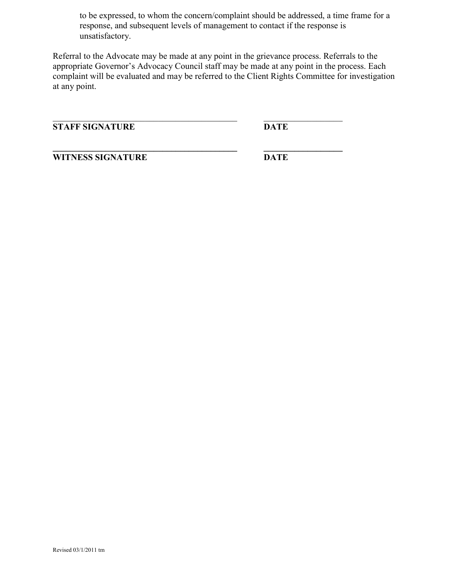to be expressed, to whom the concern/complaint should be addressed, a time frame for a response, and subsequent levels of management to contact if the response is unsatisfactory.

Referral to the Advocate may be made at any point in the grievance process. Referrals to the appropriate Governor's Advocacy Council staff may be made at any point in the process. Each complaint will be evaluated and may be referred to the Client Rights Committee for investigation at any point.

STAFF SIGNATURE DATE

WITNESS SIGNATURE DATE

\_\_\_\_\_\_\_\_\_\_\_\_\_\_\_\_\_\_\_\_\_\_\_\_\_\_\_\_\_\_\_\_\_\_\_\_\_\_\_\_\_\_ \_\_\_\_\_\_\_\_\_\_\_\_\_\_\_\_\_\_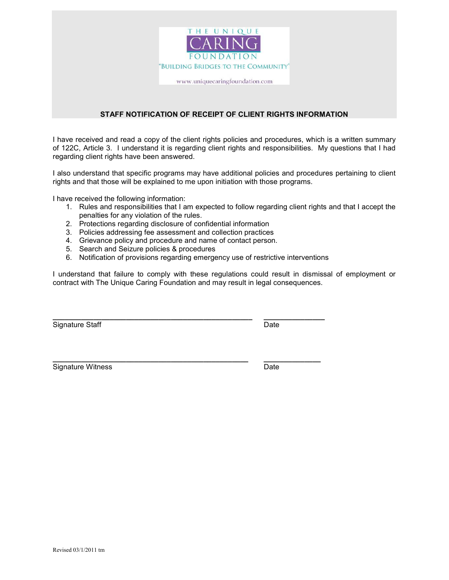

#### STAFF NOTIFICATION OF RECEIPT OF CLIENT RIGHTS INFORMATION

I have received and read a copy of the client rights policies and procedures, which is a written summary of 122C, Article 3. I understand it is regarding client rights and responsibilities. My questions that I had regarding client rights have been answered.

I also understand that specific programs may have additional policies and procedures pertaining to client rights and that those will be explained to me upon initiation with those programs.

I have received the following information:

- 1. Rules and responsibilities that I am expected to follow regarding client rights and that I accept the penalties for any violation of the rules.
- 2. Protections regarding disclosure of confidential information
- 3. Policies addressing fee assessment and collection practices
- 4. Grievance policy and procedure and name of contact person.
- 5. Search and Seizure policies & procedures
- 6. Notification of provisions regarding emergency use of restrictive interventions

 $\_$  ,  $\_$  ,  $\_$  ,  $\_$  ,  $\_$  ,  $\_$  ,  $\_$  ,  $\_$  ,  $\_$  ,  $\_$  ,  $\_$  ,  $\_$  ,  $\_$  ,  $\_$  ,  $\_$  ,  $\_$  ,  $\_$  ,  $\_$  ,  $\_$ 

\_\_\_\_\_\_\_\_\_\_\_\_\_\_\_\_\_\_\_\_\_\_\_\_\_\_\_\_\_\_\_\_\_\_\_\_\_\_\_\_\_\_\_\_\_\_\_\_ \_\_\_\_\_\_\_\_\_\_\_\_\_\_

I understand that failure to comply with these regulations could result in dismissal of employment or contract with The Unique Caring Foundation and may result in legal consequences.

Signature Staff Date Date Date

Signature Witness **Date**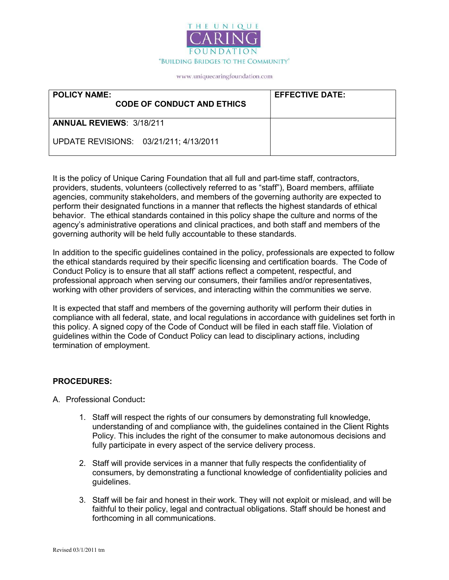

| <b>POLICY NAME:</b><br><b>CODE OF CONDUCT AND ETHICS</b> | <b>EFFECTIVE DATE:</b> |
|----------------------------------------------------------|------------------------|
| <b>ANNUAL REVIEWS: 3/18/211</b>                          |                        |
| UPDATE REVISIONS: 03/21/211; 4/13/2011                   |                        |

It is the policy of Unique Caring Foundation that all full and part-time staff, contractors, providers, students, volunteers (collectively referred to as "staff"), Board members, affiliate agencies, community stakeholders, and members of the governing authority are expected to perform their designated functions in a manner that reflects the highest standards of ethical behavior. The ethical standards contained in this policy shape the culture and norms of the agency's administrative operations and clinical practices, and both staff and members of the governing authority will be held fully accountable to these standards.

In addition to the specific guidelines contained in the policy, professionals are expected to follow the ethical standards required by their specific licensing and certification boards. The Code of Conduct Policy is to ensure that all staff' actions reflect a competent, respectful, and professional approach when serving our consumers, their families and/or representatives, working with other providers of services, and interacting within the communities we serve.

It is expected that staff and members of the governing authority will perform their duties in compliance with all federal, state, and local regulations in accordance with guidelines set forth in this policy. A signed copy of the Code of Conduct will be filed in each staff file. Violation of guidelines within the Code of Conduct Policy can lead to disciplinary actions, including termination of employment.

#### PROCEDURES:

- A. Professional Conduct:
	- 1. Staff will respect the rights of our consumers by demonstrating full knowledge, understanding of and compliance with, the guidelines contained in the Client Rights Policy. This includes the right of the consumer to make autonomous decisions and fully participate in every aspect of the service delivery process.
	- 2. Staff will provide services in a manner that fully respects the confidentiality of consumers, by demonstrating a functional knowledge of confidentiality policies and guidelines.
	- 3. Staff will be fair and honest in their work. They will not exploit or mislead, and will be faithful to their policy, legal and contractual obligations. Staff should be honest and forthcoming in all communications.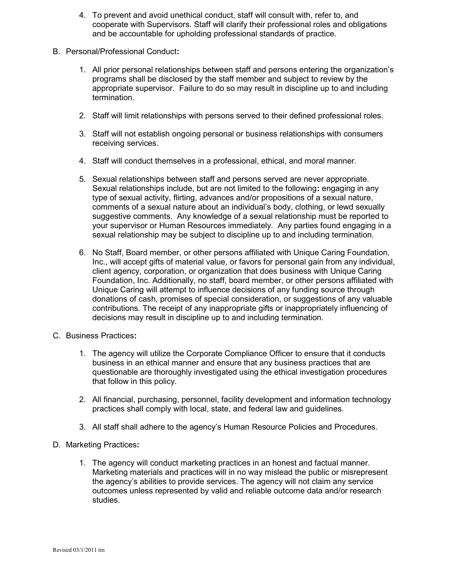- 4. To prevent and avoid unethical conduct, staff will consult with, refer to, and cooperate with Supervisors. Staff will clarify their professional roles and obligations and be accountable for upholding professional standards of practice.
- B. Personal/Professional Conduct:
	- 1. All prior personal relationships between staff and persons entering the organization's programs shall be disclosed by the staff member and subject to review by the appropriate supervisor. Failure to do so may result in discipline up to and including termination.
	- 2. Staff will limit relationships with persons served to their defined professional roles.
	- 3. Staff will not establish ongoing personal or business relationships with consumers receiving services.
	- 4. Staff will conduct themselves in a professional, ethical, and moral manner.
	- 5. Sexual relationships between staff and persons served are never appropriate. Sexual relationships include, but are not limited to the following: engaging in any type of sexual activity, flirting, advances and/or propositions of a sexual nature, comments of a sexual nature about an individual's body, clothing, or lewd sexually suggestive comments. Any knowledge of a sexual relationship must be reported to your supervisor or Human Resources immediately. Any parties found engaging in a sexual relationship may be subject to discipline up to and including termination.
	- 6. No Staff, Board member, or other persons affiliated with Unique Caring Foundation, Inc., will accept gifts of material value, or favors for personal gain from any individual, client agency, corporation, or organization that does business with Unique Caring Foundation, Inc. Additionally, no staff, board member, or other persons affiliated with Unique Caring will attempt to influence decisions of any funding source through donations of cash, promises of special consideration, or suggestions of any valuable contributions. The receipt of any inappropriate gifts or inappropriately influencing of decisions may result in discipline up to and including termination.
- C. Business Practices:
	- 1. The agency will utilize the Corporate Compliance Officer to ensure that it conducts business in an ethical manner and ensure that any business practices that are questionable are thoroughly investigated using the ethical investigation procedures that follow in this policy.
	- 2. All financial, purchasing, personnel, facility development and information technology practices shall comply with local, state, and federal law and guidelines.
	- 3. All staff shall adhere to the agency's Human Resource Policies and Procedures.
- D. Marketing Practices:
	- 1. The agency will conduct marketing practices in an honest and factual manner. Marketing materials and practices will in no way mislead the public or misrepresent the agency's abilities to provide services. The agency will not claim any service outcomes unless represented by valid and reliable outcome data and/or research studies.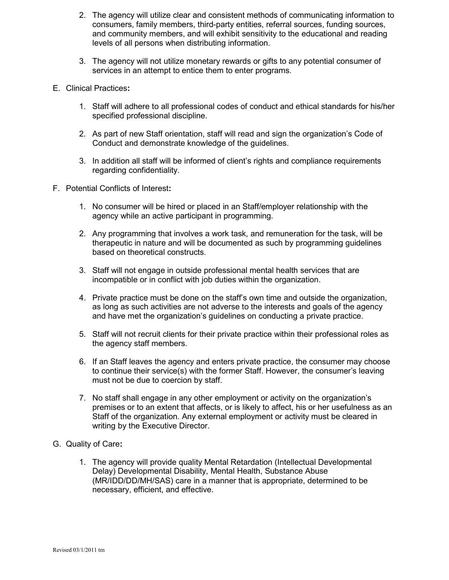- 2. The agency will utilize clear and consistent methods of communicating information to consumers, family members, third-party entities, referral sources, funding sources, and community members, and will exhibit sensitivity to the educational and reading levels of all persons when distributing information.
- 3. The agency will not utilize monetary rewards or gifts to any potential consumer of services in an attempt to entice them to enter programs.
- E. Clinical Practices:
	- 1. Staff will adhere to all professional codes of conduct and ethical standards for his/her specified professional discipline.
	- 2. As part of new Staff orientation, staff will read and sign the organization's Code of Conduct and demonstrate knowledge of the guidelines.
	- 3. In addition all staff will be informed of client's rights and compliance requirements regarding confidentiality.
- F. Potential Conflicts of Interest:
	- 1. No consumer will be hired or placed in an Staff/employer relationship with the agency while an active participant in programming.
	- 2. Any programming that involves a work task, and remuneration for the task, will be therapeutic in nature and will be documented as such by programming guidelines based on theoretical constructs.
	- 3. Staff will not engage in outside professional mental health services that are incompatible or in conflict with job duties within the organization.
	- 4. Private practice must be done on the staff's own time and outside the organization, as long as such activities are not adverse to the interests and goals of the agency and have met the organization's guidelines on conducting a private practice.
	- 5. Staff will not recruit clients for their private practice within their professional roles as the agency staff members.
	- 6. If an Staff leaves the agency and enters private practice, the consumer may choose to continue their service(s) with the former Staff. However, the consumer's leaving must not be due to coercion by staff.
	- 7. No staff shall engage in any other employment or activity on the organization's premises or to an extent that affects, or is likely to affect, his or her usefulness as an Staff of the organization. Any external employment or activity must be cleared in writing by the Executive Director.
- G. Quality of Care:
	- 1. The agency will provide quality Mental Retardation (Intellectual Developmental Delay) Developmental Disability, Mental Health, Substance Abuse (MR/IDD/DD/MH/SAS) care in a manner that is appropriate, determined to be necessary, efficient, and effective.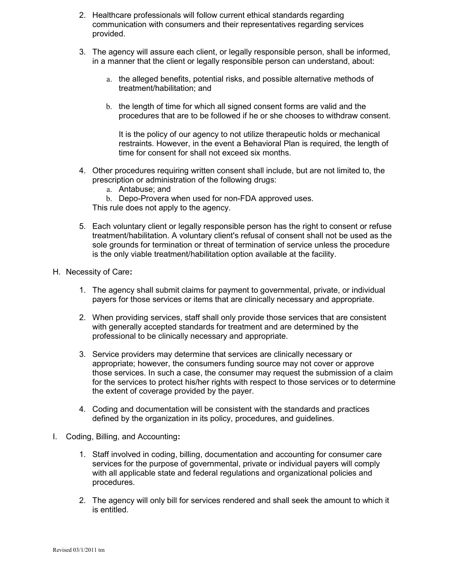- 2. Healthcare professionals will follow current ethical standards regarding communication with consumers and their representatives regarding services provided.
- 3. The agency will assure each client, or legally responsible person, shall be informed, in a manner that the client or legally responsible person can understand, about:
	- a. the alleged benefits, potential risks, and possible alternative methods of treatment/habilitation; and
	- b. the length of time for which all signed consent forms are valid and the procedures that are to be followed if he or she chooses to withdraw consent.

It is the policy of our agency to not utilize therapeutic holds or mechanical restraints. However, in the event a Behavioral Plan is required, the length of time for consent for shall not exceed six months.

- 4. Other procedures requiring written consent shall include, but are not limited to, the prescription or administration of the following drugs:
	- a. Antabuse; and

b. Depo-Provera when used for non-FDA approved uses.

This rule does not apply to the agency.

- 5. Each voluntary client or legally responsible person has the right to consent or refuse treatment/habilitation. A voluntary client's refusal of consent shall not be used as the sole grounds for termination or threat of termination of service unless the procedure is the only viable treatment/habilitation option available at the facility.
- H. Necessity of Care:
	- 1. The agency shall submit claims for payment to governmental, private, or individual payers for those services or items that are clinically necessary and appropriate.
	- 2. When providing services, staff shall only provide those services that are consistent with generally accepted standards for treatment and are determined by the professional to be clinically necessary and appropriate.
	- 3. Service providers may determine that services are clinically necessary or appropriate; however, the consumers funding source may not cover or approve those services. In such a case, the consumer may request the submission of a claim for the services to protect his/her rights with respect to those services or to determine the extent of coverage provided by the payer.
	- 4. Coding and documentation will be consistent with the standards and practices defined by the organization in its policy, procedures, and guidelines.
- I. Coding, Billing, and Accounting:
	- 1. Staff involved in coding, billing, documentation and accounting for consumer care services for the purpose of governmental, private or individual payers will comply with all applicable state and federal regulations and organizational policies and procedures.
	- 2. The agency will only bill for services rendered and shall seek the amount to which it is entitled.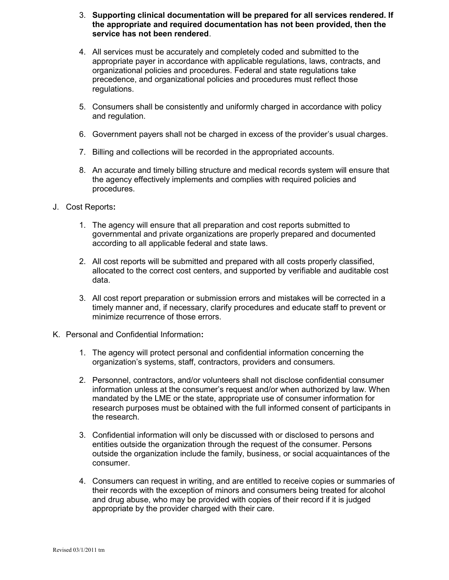- 3. Supporting clinical documentation will be prepared for all services rendered. If the appropriate and required documentation has not been provided, then the service has not been rendered.
- 4. All services must be accurately and completely coded and submitted to the appropriate payer in accordance with applicable regulations, laws, contracts, and organizational policies and procedures. Federal and state regulations take precedence, and organizational policies and procedures must reflect those regulations.
- 5. Consumers shall be consistently and uniformly charged in accordance with policy and regulation.
- 6. Government payers shall not be charged in excess of the provider's usual charges.
- 7. Billing and collections will be recorded in the appropriated accounts.
- 8. An accurate and timely billing structure and medical records system will ensure that the agency effectively implements and complies with required policies and procedures.
- J. Cost Reports:
	- 1. The agency will ensure that all preparation and cost reports submitted to governmental and private organizations are properly prepared and documented according to all applicable federal and state laws.
	- 2. All cost reports will be submitted and prepared with all costs properly classified, allocated to the correct cost centers, and supported by verifiable and auditable cost data.
	- 3. All cost report preparation or submission errors and mistakes will be corrected in a timely manner and, if necessary, clarify procedures and educate staff to prevent or minimize recurrence of those errors.
- K. Personal and Confidential Information:
	- 1. The agency will protect personal and confidential information concerning the organization's systems, staff, contractors, providers and consumers.
	- 2. Personnel, contractors, and/or volunteers shall not disclose confidential consumer information unless at the consumer's request and/or when authorized by law. When mandated by the LME or the state, appropriate use of consumer information for research purposes must be obtained with the full informed consent of participants in the research.
	- 3. Confidential information will only be discussed with or disclosed to persons and entities outside the organization through the request of the consumer. Persons outside the organization include the family, business, or social acquaintances of the consumer.
	- 4. Consumers can request in writing, and are entitled to receive copies or summaries of their records with the exception of minors and consumers being treated for alcohol and drug abuse, who may be provided with copies of their record if it is judged appropriate by the provider charged with their care.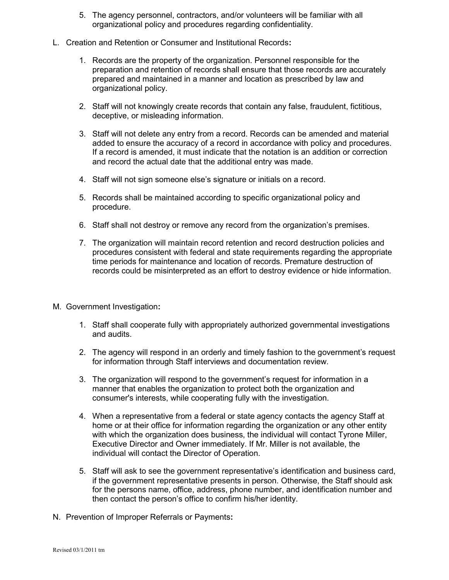- 5. The agency personnel, contractors, and/or volunteers will be familiar with all organizational policy and procedures regarding confidentiality.
- L. Creation and Retention or Consumer and Institutional Records:
	- 1. Records are the property of the organization. Personnel responsible for the preparation and retention of records shall ensure that those records are accurately prepared and maintained in a manner and location as prescribed by law and organizational policy.
	- 2. Staff will not knowingly create records that contain any false, fraudulent, fictitious, deceptive, or misleading information.
	- 3. Staff will not delete any entry from a record. Records can be amended and material added to ensure the accuracy of a record in accordance with policy and procedures. If a record is amended, it must indicate that the notation is an addition or correction and record the actual date that the additional entry was made.
	- 4. Staff will not sign someone else's signature or initials on a record.
	- 5. Records shall be maintained according to specific organizational policy and procedure.
	- 6. Staff shall not destroy or remove any record from the organization's premises.
	- 7. The organization will maintain record retention and record destruction policies and procedures consistent with federal and state requirements regarding the appropriate time periods for maintenance and location of records. Premature destruction of records could be misinterpreted as an effort to destroy evidence or hide information.
- M. Government Investigation:
	- 1. Staff shall cooperate fully with appropriately authorized governmental investigations and audits.
	- 2. The agency will respond in an orderly and timely fashion to the government's request for information through Staff interviews and documentation review.
	- 3. The organization will respond to the government's request for information in a manner that enables the organization to protect both the organization and consumer's interests, while cooperating fully with the investigation.
	- 4. When a representative from a federal or state agency contacts the agency Staff at home or at their office for information regarding the organization or any other entity with which the organization does business, the individual will contact Tyrone Miller, Executive Director and Owner immediately. If Mr. Miller is not available, the individual will contact the Director of Operation.
	- 5. Staff will ask to see the government representative's identification and business card, if the government representative presents in person. Otherwise, the Staff should ask for the persons name, office, address, phone number, and identification number and then contact the person's office to confirm his/her identity.
- N. Prevention of Improper Referrals or Payments: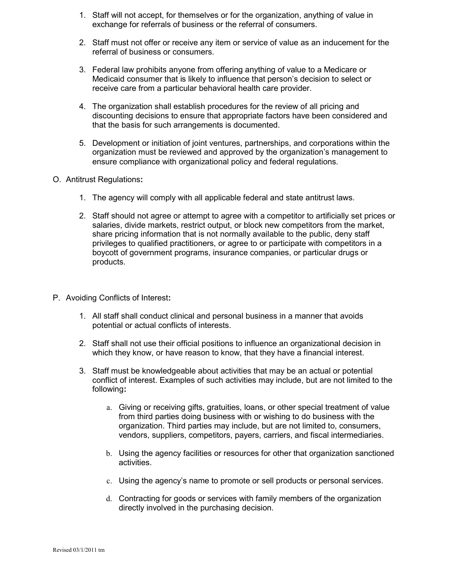- 1. Staff will not accept, for themselves or for the organization, anything of value in exchange for referrals of business or the referral of consumers.
- 2. Staff must not offer or receive any item or service of value as an inducement for the referral of business or consumers.
- 3. Federal law prohibits anyone from offering anything of value to a Medicare or Medicaid consumer that is likely to influence that person's decision to select or receive care from a particular behavioral health care provider.
- 4. The organization shall establish procedures for the review of all pricing and discounting decisions to ensure that appropriate factors have been considered and that the basis for such arrangements is documented.
- 5. Development or initiation of joint ventures, partnerships, and corporations within the organization must be reviewed and approved by the organization's management to ensure compliance with organizational policy and federal regulations.
- O. Antitrust Regulations:
	- 1. The agency will comply with all applicable federal and state antitrust laws.
	- 2. Staff should not agree or attempt to agree with a competitor to artificially set prices or salaries, divide markets, restrict output, or block new competitors from the market, share pricing information that is not normally available to the public, deny staff privileges to qualified practitioners, or agree to or participate with competitors in a boycott of government programs, insurance companies, or particular drugs or products.
- P. Avoiding Conflicts of Interest:
	- 1. All staff shall conduct clinical and personal business in a manner that avoids potential or actual conflicts of interests.
	- 2. Staff shall not use their official positions to influence an organizational decision in which they know, or have reason to know, that they have a financial interest.
	- 3. Staff must be knowledgeable about activities that may be an actual or potential conflict of interest. Examples of such activities may include, but are not limited to the following:
		- a. Giving or receiving gifts, gratuities, loans, or other special treatment of value from third parties doing business with or wishing to do business with the organization. Third parties may include, but are not limited to, consumers, vendors, suppliers, competitors, payers, carriers, and fiscal intermediaries.
		- b. Using the agency facilities or resources for other that organization sanctioned activities.
		- c. Using the agency's name to promote or sell products or personal services.
		- d. Contracting for goods or services with family members of the organization directly involved in the purchasing decision.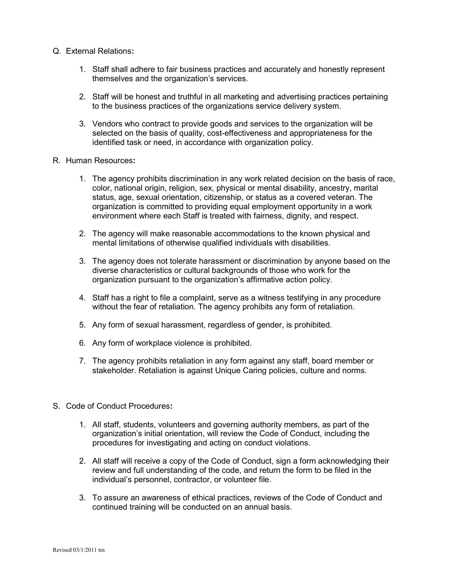- Q. External Relations:
	- 1. Staff shall adhere to fair business practices and accurately and honestly represent themselves and the organization's services.
	- 2. Staff will be honest and truthful in all marketing and advertising practices pertaining to the business practices of the organizations service delivery system.
	- 3. Vendors who contract to provide goods and services to the organization will be selected on the basis of quality, cost-effectiveness and appropriateness for the identified task or need, in accordance with organization policy.
- R. Human Resources:
	- 1. The agency prohibits discrimination in any work related decision on the basis of race, color, national origin, religion, sex, physical or mental disability, ancestry, marital status, age, sexual orientation, citizenship, or status as a covered veteran. The organization is committed to providing equal employment opportunity in a work environment where each Staff is treated with fairness, dignity, and respect.
	- 2. The agency will make reasonable accommodations to the known physical and mental limitations of otherwise qualified individuals with disabilities.
	- 3. The agency does not tolerate harassment or discrimination by anyone based on the diverse characteristics or cultural backgrounds of those who work for the organization pursuant to the organization's affirmative action policy.
	- 4. Staff has a right to file a complaint, serve as a witness testifying in any procedure without the fear of retaliation. The agency prohibits any form of retaliation.
	- 5. Any form of sexual harassment, regardless of gender, is prohibited.
	- 6. Any form of workplace violence is prohibited.
	- 7. The agency prohibits retaliation in any form against any staff, board member or stakeholder. Retaliation is against Unique Caring policies, culture and norms.
- S. Code of Conduct Procedures:
	- 1. All staff, students, volunteers and governing authority members, as part of the organization's initial orientation, will review the Code of Conduct, including the procedures for investigating and acting on conduct violations.
	- 2. All staff will receive a copy of the Code of Conduct, sign a form acknowledging their review and full understanding of the code, and return the form to be filed in the individual's personnel, contractor, or volunteer file.
	- 3. To assure an awareness of ethical practices, reviews of the Code of Conduct and continued training will be conducted on an annual basis.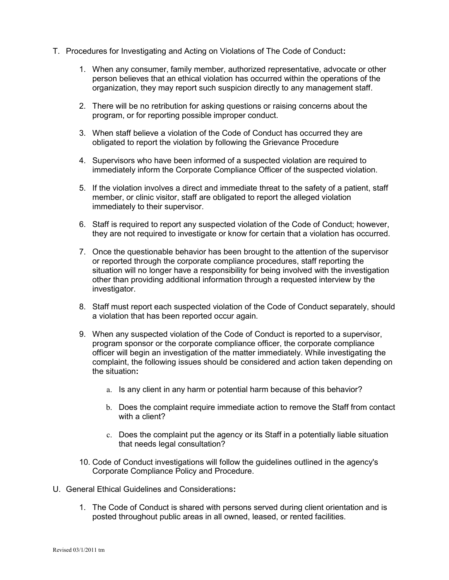- T. Procedures for Investigating and Acting on Violations of The Code of Conduct:
	- 1. When any consumer, family member, authorized representative, advocate or other person believes that an ethical violation has occurred within the operations of the organization, they may report such suspicion directly to any management staff.
	- 2. There will be no retribution for asking questions or raising concerns about the program, or for reporting possible improper conduct.
	- 3. When staff believe a violation of the Code of Conduct has occurred they are obligated to report the violation by following the Grievance Procedure
	- 4. Supervisors who have been informed of a suspected violation are required to immediately inform the Corporate Compliance Officer of the suspected violation.
	- 5. If the violation involves a direct and immediate threat to the safety of a patient, staff member, or clinic visitor, staff are obligated to report the alleged violation immediately to their supervisor.
	- 6. Staff is required to report any suspected violation of the Code of Conduct; however, they are not required to investigate or know for certain that a violation has occurred.
	- 7. Once the questionable behavior has been brought to the attention of the supervisor or reported through the corporate compliance procedures, staff reporting the situation will no longer have a responsibility for being involved with the investigation other than providing additional information through a requested interview by the investigator.
	- 8. Staff must report each suspected violation of the Code of Conduct separately, should a violation that has been reported occur again.
	- 9. When any suspected violation of the Code of Conduct is reported to a supervisor, program sponsor or the corporate compliance officer, the corporate compliance officer will begin an investigation of the matter immediately. While investigating the complaint, the following issues should be considered and action taken depending on the situation:
		- a. Is any client in any harm or potential harm because of this behavior?
		- b. Does the complaint require immediate action to remove the Staff from contact with a client?
		- c. Does the complaint put the agency or its Staff in a potentially liable situation that needs legal consultation?
	- 10. Code of Conduct investigations will follow the guidelines outlined in the agency's Corporate Compliance Policy and Procedure.
- U. General Ethical Guidelines and Considerations:
	- 1. The Code of Conduct is shared with persons served during client orientation and is posted throughout public areas in all owned, leased, or rented facilities.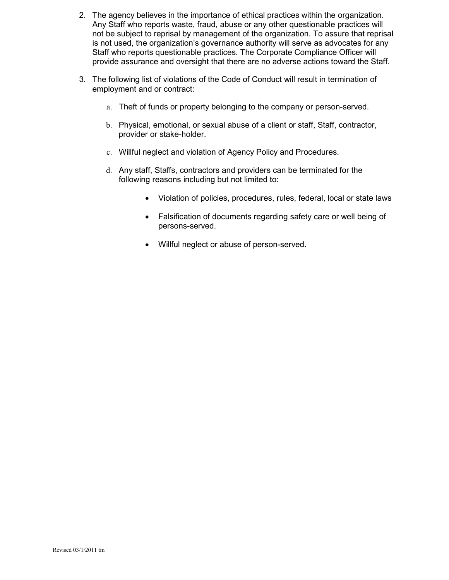- 2. The agency believes in the importance of ethical practices within the organization. Any Staff who reports waste, fraud, abuse or any other questionable practices will not be subject to reprisal by management of the organization. To assure that reprisal is not used, the organization's governance authority will serve as advocates for any Staff who reports questionable practices. The Corporate Compliance Officer will provide assurance and oversight that there are no adverse actions toward the Staff.
- 3. The following list of violations of the Code of Conduct will result in termination of employment and or contract:
	- a. Theft of funds or property belonging to the company or person-served.
	- b. Physical, emotional, or sexual abuse of a client or staff, Staff, contractor, provider or stake-holder.
	- c. Willful neglect and violation of Agency Policy and Procedures.
	- d. Any staff, Staffs, contractors and providers can be terminated for the following reasons including but not limited to:
		- Violation of policies, procedures, rules, federal, local or state laws
		- Falsification of documents regarding safety care or well being of persons-served.
		- Willful neglect or abuse of person-served.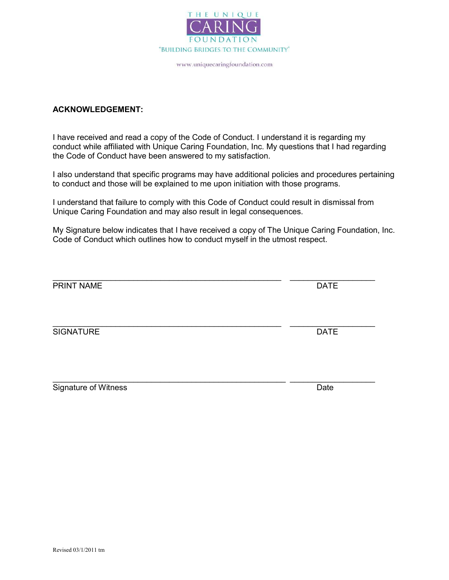

#### ACKNOWLEDGEMENT:

I have received and read a copy of the Code of Conduct. I understand it is regarding my conduct while affiliated with Unique Caring Foundation, Inc. My questions that I had regarding the Code of Conduct have been answered to my satisfaction.

I also understand that specific programs may have additional policies and procedures pertaining to conduct and those will be explained to me upon initiation with those programs.

I understand that failure to comply with this Code of Conduct could result in dismissal from Unique Caring Foundation and may also result in legal consequences.

My Signature below indicates that I have received a copy of The Unique Caring Foundation, Inc. Code of Conduct which outlines how to conduct myself in the utmost respect.

| PRINT NAME       | <b>DATE</b> |
|------------------|-------------|
| <b>SIGNATURE</b> | <b>DATE</b> |
|                  |             |

 $\mathcal{L}_\text{max} = \mathcal{L}_\text{max} = \mathcal{L}_\text{max} = \mathcal{L}_\text{max} = \mathcal{L}_\text{max} = \mathcal{L}_\text{max} = \mathcal{L}_\text{max} = \mathcal{L}_\text{max} = \mathcal{L}_\text{max} = \mathcal{L}_\text{max} = \mathcal{L}_\text{max} = \mathcal{L}_\text{max} = \mathcal{L}_\text{max} = \mathcal{L}_\text{max} = \mathcal{L}_\text{max} = \mathcal{L}_\text{max} = \mathcal{L}_\text{max} = \mathcal{L}_\text{max} = \mathcal{$ 

Signature of Witness **Date**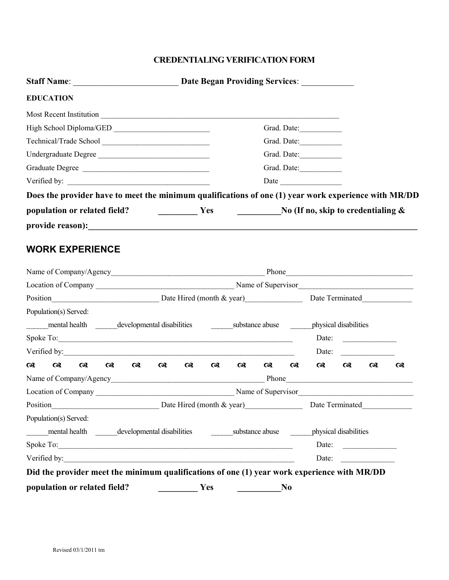### CREDENTIALING VERIFICATION FORM

| <b>EDUCATION</b>                                                                                                                                                                                                               |                                                                                                                                                                                                                                                                                                                                                                                                                                 |          |                 |          |                |                                          |          |                                                                                                                                                                                                                                      |          |
|--------------------------------------------------------------------------------------------------------------------------------------------------------------------------------------------------------------------------------|---------------------------------------------------------------------------------------------------------------------------------------------------------------------------------------------------------------------------------------------------------------------------------------------------------------------------------------------------------------------------------------------------------------------------------|----------|-----------------|----------|----------------|------------------------------------------|----------|--------------------------------------------------------------------------------------------------------------------------------------------------------------------------------------------------------------------------------------|----------|
|                                                                                                                                                                                                                                |                                                                                                                                                                                                                                                                                                                                                                                                                                 |          |                 |          |                |                                          |          |                                                                                                                                                                                                                                      |          |
| High School Diploma/GED                                                                                                                                                                                                        |                                                                                                                                                                                                                                                                                                                                                                                                                                 |          |                 |          |                | Grad. Date:                              |          |                                                                                                                                                                                                                                      |          |
|                                                                                                                                                                                                                                |                                                                                                                                                                                                                                                                                                                                                                                                                                 |          |                 |          |                | Grad. Date:                              |          |                                                                                                                                                                                                                                      |          |
| Undergraduate Degree                                                                                                                                                                                                           |                                                                                                                                                                                                                                                                                                                                                                                                                                 |          |                 |          |                | Grad. Date:                              |          |                                                                                                                                                                                                                                      |          |
| Graduate Degree                                                                                                                                                                                                                |                                                                                                                                                                                                                                                                                                                                                                                                                                 |          |                 |          |                | Grad. Date:                              |          |                                                                                                                                                                                                                                      |          |
|                                                                                                                                                                                                                                |                                                                                                                                                                                                                                                                                                                                                                                                                                 |          |                 |          |                |                                          |          |                                                                                                                                                                                                                                      |          |
| Does the provider have to meet the minimum qualifications of one (1) year work experience with MR/DD                                                                                                                           |                                                                                                                                                                                                                                                                                                                                                                                                                                 |          |                 |          |                |                                          |          |                                                                                                                                                                                                                                      |          |
| population or related field?                                                                                                                                                                                                   | $\frac{1}{\sqrt{1-\frac{1}{2}}}\frac{1}{\sqrt{1-\frac{1}{2}}}\frac{1}{\sqrt{1-\frac{1}{2}}}\frac{1}{\sqrt{1-\frac{1}{2}}}\frac{1}{\sqrt{1-\frac{1}{2}}}\frac{1}{\sqrt{1-\frac{1}{2}}}\frac{1}{\sqrt{1-\frac{1}{2}}}\frac{1}{\sqrt{1-\frac{1}{2}}}\frac{1}{\sqrt{1-\frac{1}{2}}}\frac{1}{\sqrt{1-\frac{1}{2}}}\frac{1}{\sqrt{1-\frac{1}{2}}}\frac{1}{\sqrt{1-\frac{1}{2}}}\frac{1}{\sqrt{1-\frac{1}{2}}}\frac{1}{\sqrt{1-\frac{$ |          |                 |          |                | No (If no, skip to credentialing $\&$    |          |                                                                                                                                                                                                                                      |          |
|                                                                                                                                                                                                                                |                                                                                                                                                                                                                                                                                                                                                                                                                                 |          |                 |          |                |                                          |          |                                                                                                                                                                                                                                      |          |
| <b>WORK EXPERIENCE</b>                                                                                                                                                                                                         |                                                                                                                                                                                                                                                                                                                                                                                                                                 |          |                 |          |                |                                          |          |                                                                                                                                                                                                                                      |          |
|                                                                                                                                                                                                                                |                                                                                                                                                                                                                                                                                                                                                                                                                                 |          |                 |          |                |                                          |          |                                                                                                                                                                                                                                      |          |
|                                                                                                                                                                                                                                |                                                                                                                                                                                                                                                                                                                                                                                                                                 |          |                 |          |                |                                          |          |                                                                                                                                                                                                                                      |          |
| Population(s) Served:                                                                                                                                                                                                          |                                                                                                                                                                                                                                                                                                                                                                                                                                 |          |                 |          |                |                                          |          |                                                                                                                                                                                                                                      |          |
| mental health developmental disabilities                                                                                                                                                                                       |                                                                                                                                                                                                                                                                                                                                                                                                                                 |          |                 |          |                | substance abuse by physical disabilities |          |                                                                                                                                                                                                                                      |          |
|                                                                                                                                                                                                                                |                                                                                                                                                                                                                                                                                                                                                                                                                                 |          |                 |          |                | Date:                                    |          | <u>and the community of the community of the community of the community of the community of the community of the community of the community of the community of the community of the community of the community of the community</u> |          |
|                                                                                                                                                                                                                                |                                                                                                                                                                                                                                                                                                                                                                                                                                 |          |                 |          |                | Date:                                    |          |                                                                                                                                                                                                                                      |          |
| $\boldsymbol{\alpha}$<br>$\alpha$<br>$\alpha$<br>$\alpha$<br>$\alpha$                                                                                                                                                          | $\alpha$<br>$\alpha$                                                                                                                                                                                                                                                                                                                                                                                                            | $\alpha$ | $\alpha$        | $\alpha$ | $\omega$       | $\alpha$                                 | $\alpha$ | $\alpha$                                                                                                                                                                                                                             | $\alpha$ |
|                                                                                                                                                                                                                                |                                                                                                                                                                                                                                                                                                                                                                                                                                 |          |                 |          |                |                                          |          |                                                                                                                                                                                                                                      |          |
| Location of Company Name of Supervisor                                                                                                                                                                                         |                                                                                                                                                                                                                                                                                                                                                                                                                                 |          |                 |          |                |                                          |          |                                                                                                                                                                                                                                      |          |
| Date Hired (month & year) Date Terminated<br>Position                                                                                                                                                                          |                                                                                                                                                                                                                                                                                                                                                                                                                                 |          |                 |          |                |                                          |          |                                                                                                                                                                                                                                      |          |
| Population(s) Served:                                                                                                                                                                                                          |                                                                                                                                                                                                                                                                                                                                                                                                                                 |          |                 |          |                |                                          |          |                                                                                                                                                                                                                                      |          |
| mental health developmental disabilities                                                                                                                                                                                       |                                                                                                                                                                                                                                                                                                                                                                                                                                 |          | substance abuse |          |                | physical disabilities                    |          |                                                                                                                                                                                                                                      |          |
| Spoke To: New York Contract to the Contract of the Contract of the Contract of the Contract of the Contract of the Contract of the Contract of the Contract of the Contract of the Contract of the Contract of the Contract of |                                                                                                                                                                                                                                                                                                                                                                                                                                 |          |                 |          |                | Date:                                    |          |                                                                                                                                                                                                                                      |          |
| Verified by:<br><u> 1980 - Jan Samuel Barbara, margaret eta biztanleria (h. 1980).</u>                                                                                                                                         |                                                                                                                                                                                                                                                                                                                                                                                                                                 |          |                 |          |                | Date:                                    |          |                                                                                                                                                                                                                                      |          |
| Did the provider meet the minimum qualifications of one (1) year work experience with MR/DD                                                                                                                                    |                                                                                                                                                                                                                                                                                                                                                                                                                                 |          |                 |          |                |                                          |          |                                                                                                                                                                                                                                      |          |
| population or related field?                                                                                                                                                                                                   |                                                                                                                                                                                                                                                                                                                                                                                                                                 | Yes      |                 |          | N <sub>0</sub> |                                          |          |                                                                                                                                                                                                                                      |          |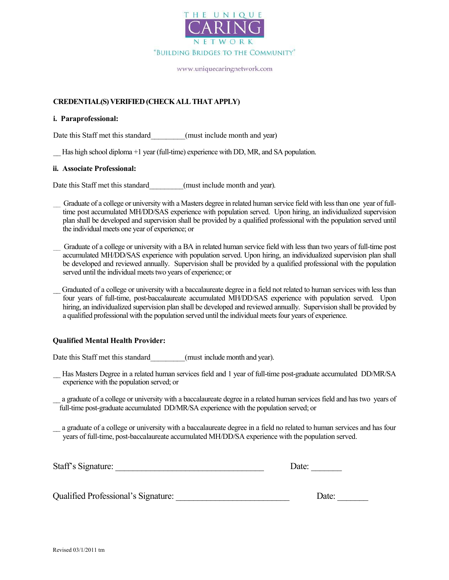

www.uniquecaringnetwork.com

#### CREDENTIAL(S) VERIFIED (CHECK ALL THAT APPLY)

#### i. Paraprofessional:

Date this Staff met this standard (must include month and year)

Has high school diploma +1 year (full-time) experience with DD, MR, and SA population.

#### ii. Associate Professional:

Date this Staff met this standard (must include month and year).

\_\_ Graduate of a college or university with a Masters degree in related human service field with less than one year of fulltime post accumulated MH/DD/SAS experience with population served. Upon hiring, an individualized supervision plan shall be developed and supervision shall be provided by a qualified professional with the population served until the individual meets one year of experience; or

\_\_ Graduate of a college or university with a BA in related human service field with less than two years of full-time post accumulated MH/DD/SAS experience with population served. Upon hiring, an individualized supervision plan shall be developed and reviewed annually. Supervision shall be provided by a qualified professional with the population served until the individual meets two years of experience; or

\_\_ Graduated of a college or university with a baccalaureate degree in a field not related to human services with less than four years of full-time, post-baccalaureate accumulated MH/DD/SAS experience with population served. Upon hiring, an individualized supervision plan shall be developed and reviewed annually. Supervision shall be provided by a qualified professional with the population served until the individual meets four years of experience.

#### Qualified Mental Health Provider:

Date this Staff met this standard (must include month and year).

- \_\_ Has Masters Degree in a related human services field and 1 year of full-time post-graduate accumulated DD/MR/SA experience with the population served; or
- a graduate of a college or university with a baccalaureate degree in a related human services field and has two years of full-time post-graduate accumulated DD/MR/SA experience with the population served; or
- \_\_ a graduate of a college or university with a baccalaureate degree in a field no related to human services and has four years of full-time, post-baccalaureate accumulated MH/DD/SA experience with the population served.

| Staff's Signature: | Date: |  |
|--------------------|-------|--|
|                    |       |  |
|                    |       |  |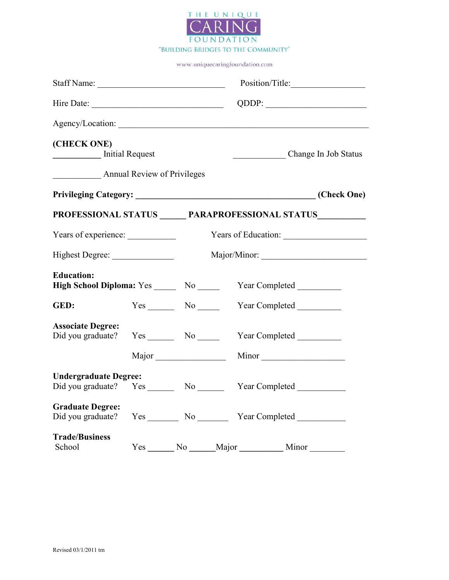

|                                               |     |       | Position/Title:                                                                  |  |  |
|-----------------------------------------------|-----|-------|----------------------------------------------------------------------------------|--|--|
|                                               |     |       |                                                                                  |  |  |
|                                               |     |       | Agency/Location:                                                                 |  |  |
| (CHECK ONE)<br>Initial Request                |     |       | Change In Job Status                                                             |  |  |
| Annual Review of Privileges                   |     |       |                                                                                  |  |  |
|                                               |     |       |                                                                                  |  |  |
|                                               |     |       | PROFESSIONAL STATUS PARAPROFESSIONAL STATUS                                      |  |  |
| Years of experience:                          |     |       | Years of Education:                                                              |  |  |
|                                               |     |       |                                                                                  |  |  |
| <b>Education:</b>                             |     |       | High School Diploma: Yes ______ No ______ Year Completed ________                |  |  |
| GED:                                          |     |       | Yes No Year Completed                                                            |  |  |
| <b>Associate Degree:</b><br>Did you graduate? |     |       | Yes No Year Completed                                                            |  |  |
|                                               |     |       |                                                                                  |  |  |
| <b>Undergraduate Degree:</b>                  |     |       | Did you graduate? Yes ________ No __________ Year Completed ____________________ |  |  |
| <b>Graduate Degree:</b>                       |     |       | Did you graduate? Yes _________ No ___________ Year Completed __________________ |  |  |
| <b>Trade/Business</b><br>School               | Yes | No No | Major<br>Minor                                                                   |  |  |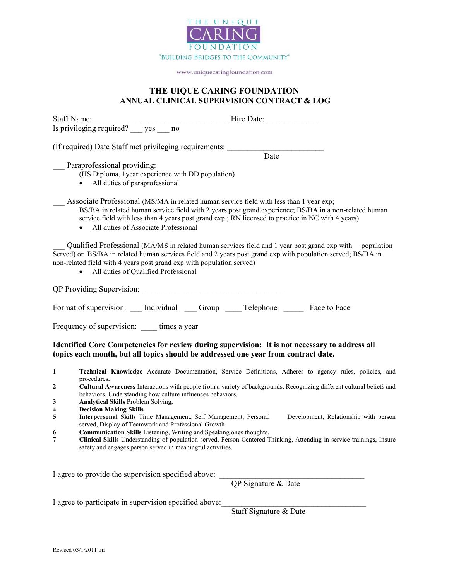

#### THE UIQUE CARING FOUNDATION ANNUAL CLINICAL SUPERVISION CONTRACT & LOG

|                  | (If required) Date Staff met privileging requirements:<br>$\overline{Date}$                                                                                                                                                                                                                                                                                |
|------------------|------------------------------------------------------------------------------------------------------------------------------------------------------------------------------------------------------------------------------------------------------------------------------------------------------------------------------------------------------------|
|                  | Paraprofessional providing:<br>(HS Diploma, 1 year experience with DD population)<br>All duties of paraprofessional<br>$\bullet$                                                                                                                                                                                                                           |
|                  | Associate Professional (MS/MA in related human service field with less than 1 year exp;<br>BS/BA in related human service field with 2 years post grand experience; BS/BA in a non-related human<br>service field with less than 4 years post grand exp.; RN licensed to practice in NC with 4 years)<br>All duties of Associate Professional<br>$\bullet$ |
|                  | Qualified Professional (MA/MS in related human services field and 1 year post grand exp with population<br>Served) or BS/BA in related human services field and 2 years post grand exp with population served; BS/BA in<br>non-related field with 4 years post grand exp with population served)<br>All duties of Qualified Professional<br>$\bullet$      |
|                  |                                                                                                                                                                                                                                                                                                                                                            |
|                  | Format of supervision: Individual Group Telephone Face to Face                                                                                                                                                                                                                                                                                             |
|                  | Frequency of supervision: times a year                                                                                                                                                                                                                                                                                                                     |
|                  | Identified Core Competencies for review during supervision: It is not necessary to address all<br>topics each month, but all topics should be addressed one year from contract date.                                                                                                                                                                       |
| 1                | Technical Knowledge Accurate Documentation, Service Definitions, Adheres to agency rules, policies, and                                                                                                                                                                                                                                                    |
| $\boldsymbol{2}$ | procedures.<br>Cultural Awareness Interactions with people from a variety of backgrounds, Recognizing different cultural beliefs and<br>behaviors, Understanding how culture influences behaviors.                                                                                                                                                         |
| 3                | <b>Analytical Skills Problem Solving,</b>                                                                                                                                                                                                                                                                                                                  |
| 4                | <b>Decision Making Skills</b>                                                                                                                                                                                                                                                                                                                              |
| 5                | Interpersonal Skills Time Management, Self Management, Personal Development, Relationship with person<br>served, Display of Teamwork and Professional Growth                                                                                                                                                                                               |
| 6                | Communication Skills Listening, Writing and Speaking ones thoughts.                                                                                                                                                                                                                                                                                        |
| 7                | Clinical Skills Understanding of population served, Person Centered Thinking, Attending in-service trainings, Insure<br>safety and engages person served in meaningful activities.                                                                                                                                                                         |

I agree to provide the supervision specified above:

QP Signature & Date

I agree to participate in supervision specified above:

Staff Signature & Date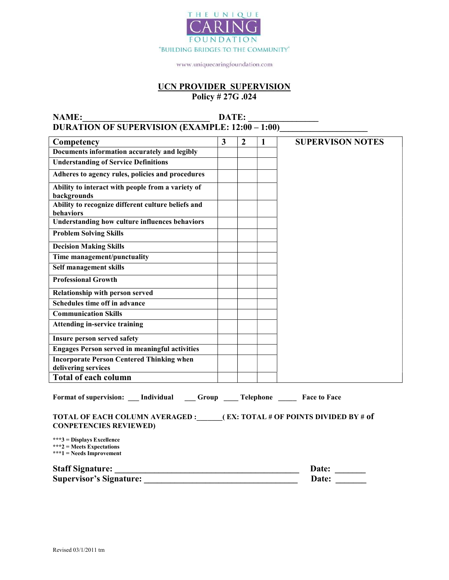

#### UCN PROVIDER SUPERVISION Policy # 27G .024

NAME:\_\_\_\_\_\_\_\_\_\_\_\_\_\_\_\_\_\_\_\_\_\_\_\_\_\_\_\_\_ DATE: \_\_\_\_\_\_\_\_\_\_\_\_\_\_\_\_ DURATION OF SUPERVISION (EXAMPLE: 12:00 – 1:00)\_\_\_\_\_\_\_\_\_\_\_\_\_\_\_\_\_\_\_\_\_\_\_\_\_\_\_\_\_\_\_\_\_

| Competency                                                                                              | 3 | $\overline{2}$ | 1 | <b>SUPERVISON NOTES</b> |
|---------------------------------------------------------------------------------------------------------|---|----------------|---|-------------------------|
| Documents information accurately and legibly                                                            |   |                |   |                         |
| <b>Understanding of Service Definitions</b>                                                             |   |                |   |                         |
| Adheres to agency rules, policies and procedures                                                        |   |                |   |                         |
| Ability to interact with people from a variety of<br>backgrounds                                        |   |                |   |                         |
| Ability to recognize different culture beliefs and<br>behaviors                                         |   |                |   |                         |
| <b>Understanding how culture influences behaviors</b>                                                   |   |                |   |                         |
| <b>Problem Solving Skills</b>                                                                           |   |                |   |                         |
| <b>Decision Making Skills</b>                                                                           |   |                |   |                         |
| Time management/punctuality                                                                             |   |                |   |                         |
| Self management skills                                                                                  |   |                |   |                         |
| <b>Professional Growth</b>                                                                              |   |                |   |                         |
| Relationship with person served                                                                         |   |                |   |                         |
| Schedules time off in advance                                                                           |   |                |   |                         |
| <b>Communication Skills</b>                                                                             |   |                |   |                         |
| <b>Attending in-service training</b>                                                                    |   |                |   |                         |
| Insure person served safety                                                                             |   |                |   |                         |
| <b>Engages Person served in meaningful activities</b>                                                   |   |                |   |                         |
| <b>Incorporate Person Centered Thinking when</b>                                                        |   |                |   |                         |
| delivering services                                                                                     |   |                |   |                         |
| <b>Total of each column</b>                                                                             |   |                |   |                         |
| Format of supervision: __ Individual _____Group _______Telephone _________Face to Face                  |   |                |   |                         |
| TOTAL OF EACH COLUMN AVERAGED : (EX: TOTAL # OF POINTS DIVIDED BY # of<br><b>CONPETENCIES REVIEWED)</b> |   |                |   |                         |
| ***3 = Displays Excellence<br>$***2$ = Meets Expectations<br>$***1 = Needs$ Improvement                 |   |                |   |                         |
| <b>Staff Signature:</b>                                                                                 |   |                |   | Date:                   |

Supervisor's Signature: \_\_\_\_\_\_\_\_\_\_\_\_\_\_\_\_\_\_\_\_\_\_\_\_\_\_\_\_\_\_\_\_\_\_\_ Date: \_\_\_\_\_\_\_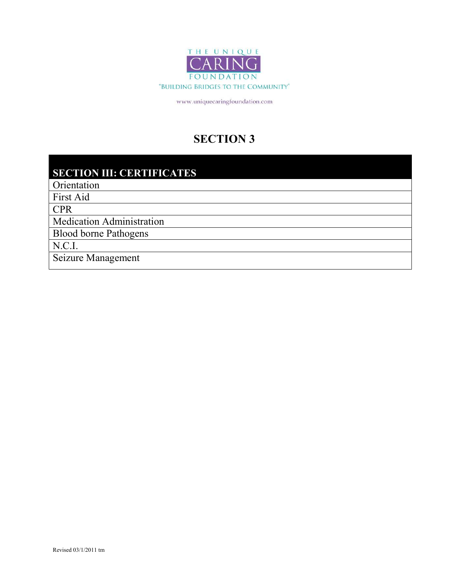

# SECTION 3

# SECTION III: CERTIFICATES

**Orientation** 

First Aid

CPR

Medication Administration

Blood borne Pathogens

N.C.I.

Seizure Management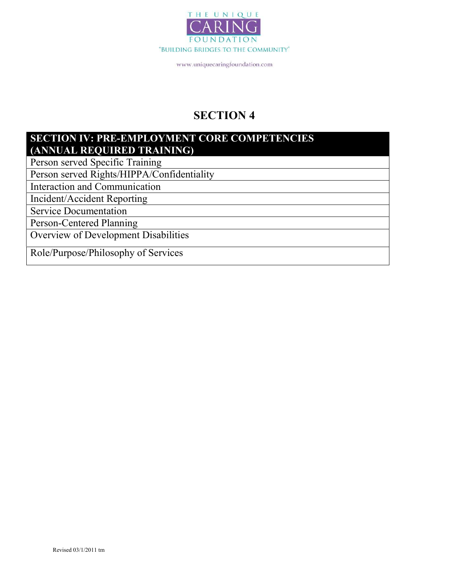

# SECTION 4

### SECTION IV: PRE-EMPLOYMENT CORE COMPETENCIES (ANNUAL REQUIRED TRAINING)

Person served Specific Training

Person served Rights/HIPPA/Confidentiality

Interaction and Communication

Incident/Accident Reporting

Service Documentation

Person-Centered Planning

Overview of Development Disabilities

Role/Purpose/Philosophy of Services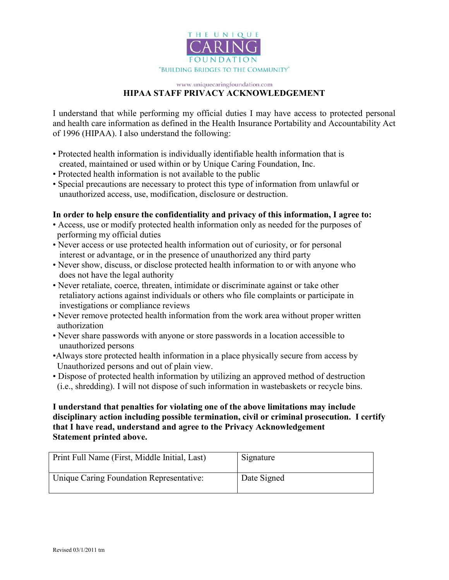

#### www.uniquecaringfoundation.com HIPAA STAFF PRIVACY ACKNOWLEDGEMENT

I understand that while performing my official duties I may have access to protected personal and health care information as defined in the Health Insurance Portability and Accountability Act of 1996 (HIPAA). I also understand the following:

- Protected health information is individually identifiable health information that is created, maintained or used within or by Unique Caring Foundation, Inc.
- Protected health information is not available to the public
- Special precautions are necessary to protect this type of information from unlawful or unauthorized access, use, modification, disclosure or destruction.

#### In order to help ensure the confidentiality and privacy of this information, I agree to:

- Access, use or modify protected health information only as needed for the purposes of performing my official duties
- Never access or use protected health information out of curiosity, or for personal interest or advantage, or in the presence of unauthorized any third party
- Never show, discuss, or disclose protected health information to or with anyone who does not have the legal authority
- Never retaliate, coerce, threaten, intimidate or discriminate against or take other retaliatory actions against individuals or others who file complaints or participate in investigations or compliance reviews
- Never remove protected health information from the work area without proper written authorization
- Never share passwords with anyone or store passwords in a location accessible to unauthorized persons
- •Always store protected health information in a place physically secure from access by Unauthorized persons and out of plain view.
- Dispose of protected health information by utilizing an approved method of destruction (i.e., shredding). I will not dispose of such information in wastebaskets or recycle bins.

#### I understand that penalties for violating one of the above limitations may include disciplinary action including possible termination, civil or criminal prosecution. I certify that I have read, understand and agree to the Privacy Acknowledgement Statement printed above.

| Print Full Name (First, Middle Initial, Last) | Signature   |
|-----------------------------------------------|-------------|
| Unique Caring Foundation Representative:      | Date Signed |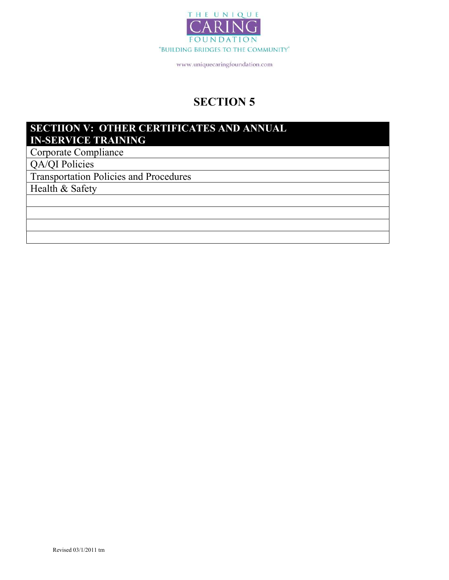

# SECTION 5

# SECTIION V: OTHER CERTIFICATES AND ANNUAL IN-SERVICE TRAINING

Corporate Compliance

QA/QI Policies

Transportation Policies and Procedures

Health & Safety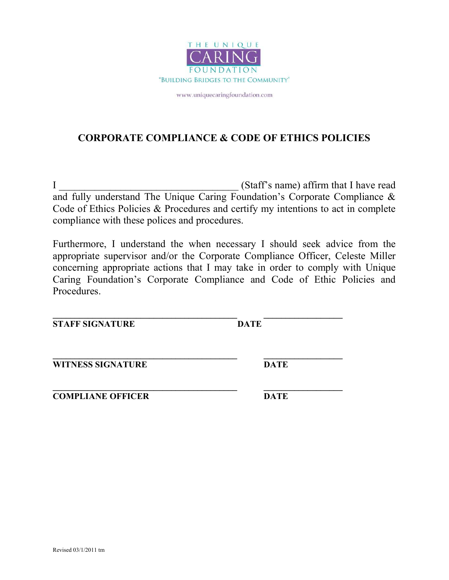

# CORPORATE COMPLIANCE & CODE OF ETHICS POLICIES

I Staff's name) affirm that I have read and fully understand The Unique Caring Foundation's Corporate Compliance & Code of Ethics Policies & Procedures and certify my intentions to act in complete compliance with these polices and procedures.

Furthermore, I understand the when necessary I should seek advice from the appropriate supervisor and/or the Corporate Compliance Officer, Celeste Miller concerning appropriate actions that I may take in order to comply with Unique Caring Foundation's Corporate Compliance and Code of Ethic Policies and Procedures.

**STAFF SIGNATURE DATE** 

\_\_\_\_\_\_\_\_\_\_\_\_\_\_\_\_\_\_\_\_\_\_\_\_\_\_\_\_\_\_\_\_\_\_\_\_\_\_\_\_\_\_ \_\_\_\_\_\_\_\_\_\_\_\_\_\_\_\_\_\_

\_\_\_\_\_\_\_\_\_\_\_\_\_\_\_\_\_\_\_\_\_\_\_\_\_\_\_\_\_\_\_\_\_\_\_\_\_\_\_\_\_\_ \_\_\_\_\_\_\_\_\_\_\_\_\_\_\_\_\_\_ WITNESS SIGNATURE DATE

 $\mathcal{L}_\text{max} = \frac{1}{2} \sum_{i=1}^n \mathcal{L}_\text{max}(\mathbf{z}_i - \mathbf{z}_i)$ **COMPLIANE OFFICER DATE**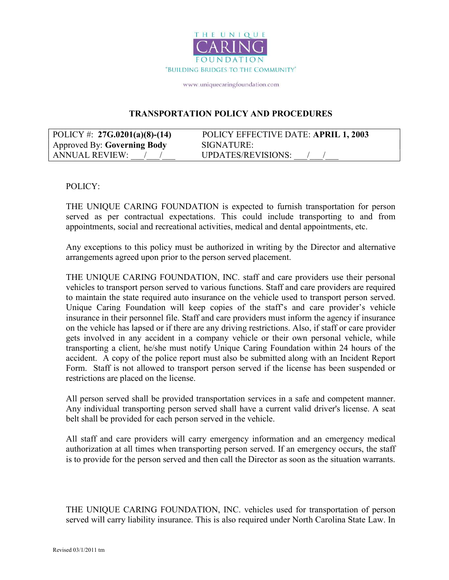

#### TRANSPORTATION POLICY AND PROCEDURES

| POLICY #: $27G.0201(a)(8)-(14)$ | POLICY EFFECTIVE DATE: APRIL 1, 2003 |
|---------------------------------|--------------------------------------|
| Approved By: Governing Body     | SIGNATURE:                           |
| ANNUAL REVIEW:                  | UPDATES/REVISIONS:                   |

#### POLICY:

THE UNIQUE CARING FOUNDATION is expected to furnish transportation for person served as per contractual expectations. This could include transporting to and from appointments, social and recreational activities, medical and dental appointments, etc.

Any exceptions to this policy must be authorized in writing by the Director and alternative arrangements agreed upon prior to the person served placement.

THE UNIQUE CARING FOUNDATION, INC. staff and care providers use their personal vehicles to transport person served to various functions. Staff and care providers are required to maintain the state required auto insurance on the vehicle used to transport person served. Unique Caring Foundation will keep copies of the staff's and care provider's vehicle insurance in their personnel file. Staff and care providers must inform the agency if insurance on the vehicle has lapsed or if there are any driving restrictions. Also, if staff or care provider gets involved in any accident in a company vehicle or their own personal vehicle, while transporting a client, he/she must notify Unique Caring Foundation within 24 hours of the accident. A copy of the police report must also be submitted along with an Incident Report Form. Staff is not allowed to transport person served if the license has been suspended or restrictions are placed on the license.

All person served shall be provided transportation services in a safe and competent manner. Any individual transporting person served shall have a current valid driver's license. A seat belt shall be provided for each person served in the vehicle.

All staff and care providers will carry emergency information and an emergency medical authorization at all times when transporting person served. If an emergency occurs, the staff is to provide for the person served and then call the Director as soon as the situation warrants.

THE UNIQUE CARING FOUNDATION, INC. vehicles used for transportation of person served will carry liability insurance. This is also required under North Carolina State Law. In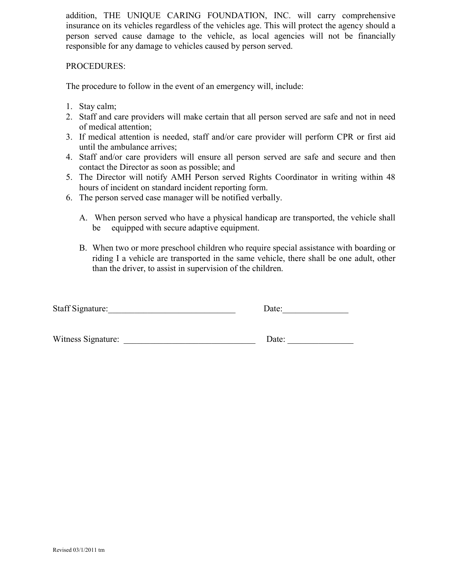addition, THE UNIQUE CARING FOUNDATION, INC. will carry comprehensive insurance on its vehicles regardless of the vehicles age. This will protect the agency should a person served cause damage to the vehicle, as local agencies will not be financially responsible for any damage to vehicles caused by person served.

#### PROCEDURES:

The procedure to follow in the event of an emergency will, include:

- 1. Stay calm;
- 2. Staff and care providers will make certain that all person served are safe and not in need of medical attention;
- 3. If medical attention is needed, staff and/or care provider will perform CPR or first aid until the ambulance arrives;
- 4. Staff and/or care providers will ensure all person served are safe and secure and then contact the Director as soon as possible; and
- 5. The Director will notify AMH Person served Rights Coordinator in writing within 48 hours of incident on standard incident reporting form.
- 6. The person served case manager will be notified verbally.
	- A. When person served who have a physical handicap are transported, the vehicle shall be equipped with secure adaptive equipment.
	- B. When two or more preschool children who require special assistance with boarding or riding I a vehicle are transported in the same vehicle, there shall be one adult, other than the driver, to assist in supervision of the children.

| Staff Signature: | Jate: |
|------------------|-------|
|                  |       |

| Witness Signature: |
|--------------------|
|--------------------|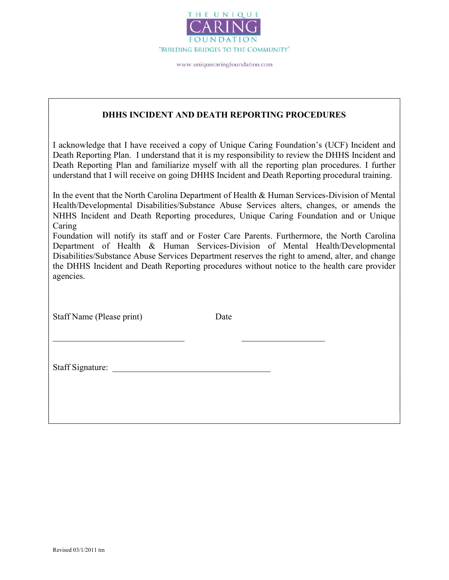

#### DHHS INCIDENT AND DEATH REPORTING PROCEDURES

I acknowledge that I have received a copy of Unique Caring Foundation's (UCF) Incident and Death Reporting Plan. I understand that it is my responsibility to review the DHHS Incident and Death Reporting Plan and familiarize myself with all the reporting plan procedures. I further understand that I will receive on going DHHS Incident and Death Reporting procedural training.

In the event that the North Carolina Department of Health & Human Services-Division of Mental Health/Developmental Disabilities/Substance Abuse Services alters, changes, or amends the NHHS Incident and Death Reporting procedures, Unique Caring Foundation and or Unique Caring

Foundation will notify its staff and or Foster Care Parents. Furthermore, the North Carolina Department of Health & Human Services-Division of Mental Health/Developmental Disabilities/Substance Abuse Services Department reserves the right to amend, alter, and change the DHHS Incident and Death Reporting procedures without notice to the health care provider agencies.

Staff Name (Please print) Date

Staff Signature: